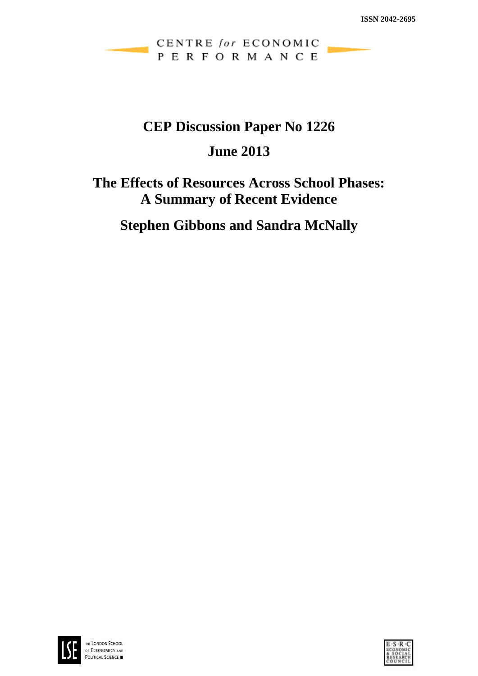# CENTRE for ECONOMIC PERFORMANCE

# **CEP Discussion Paper No 1226**

# **June 2013**

# **The Effects of Resources Across School Phases: A Summary of Recent Evidence**

**Stephen Gibbons and Sandra McNally**



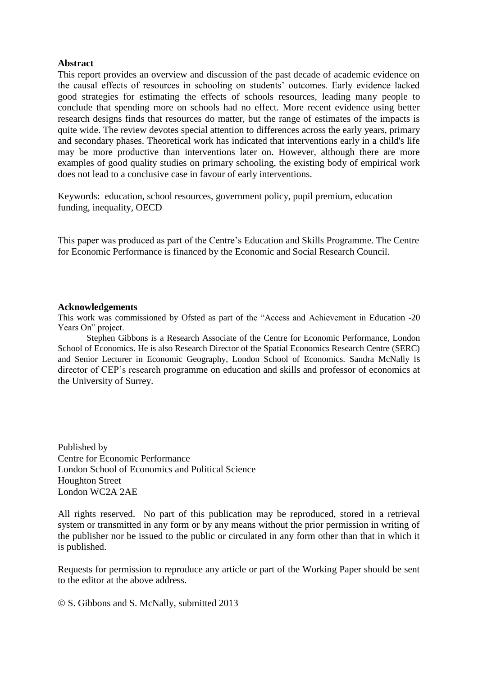#### **Abstract**

This report provides an overview and discussion of the past decade of academic evidence on the causal effects of resources in schooling on students' outcomes. Early evidence lacked good strategies for estimating the effects of schools resources, leading many people to conclude that spending more on schools had no effect. More recent evidence using better research designs finds that resources do matter, but the range of estimates of the impacts is quite wide. The review devotes special attention to differences across the early years, primary and secondary phases. Theoretical work has indicated that interventions early in a child's life may be more productive than interventions later on. However, although there are more examples of good quality studies on primary schooling, the existing body of empirical work does not lead to a conclusive case in favour of early interventions.

Keywords: education, school resources, government policy, pupil premium, education funding, inequality, OECD

This paper was produced as part of the Centre's Education and Skills Programme. The Centre for Economic Performance is financed by the Economic and Social Research Council.

#### **Acknowledgements**

This work was commissioned by Ofsted as part of the "Access and Achievement in Education -20 Years On" project.

Stephen Gibbons is a Research Associate of the Centre for Economic Performance, London School of Economics. He is also Research Director of the Spatial Economics Research Centre (SERC) and Senior Lecturer in Economic Geography, London School of Economics. Sandra McNally is director of CEP's research programme on education and skills and professor of economics at the University of Surrey.

Published by Centre for Economic Performance London School of Economics and Political Science Houghton Street London WC2A 2AE

All rights reserved. No part of this publication may be reproduced, stored in a retrieval system or transmitted in any form or by any means without the prior permission in writing of the publisher nor be issued to the public or circulated in any form other than that in which it is published.

Requests for permission to reproduce any article or part of the Working Paper should be sent to the editor at the above address.

S. Gibbons and S. McNally, submitted 2013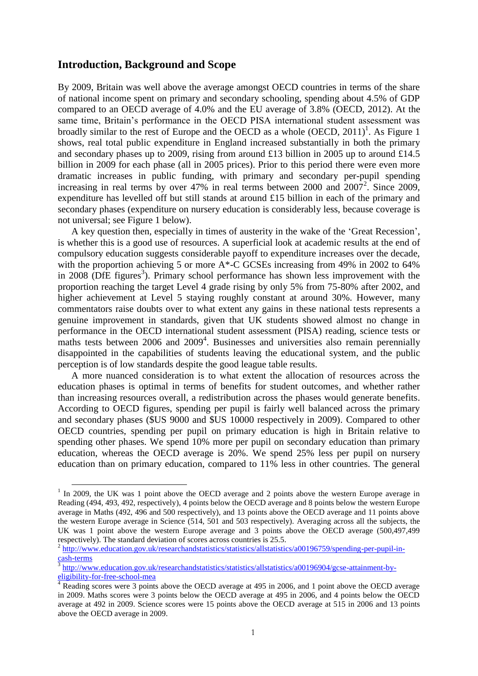## **Introduction, Background and Scope**

 $\overline{a}$ 

By 2009, Britain was well above the average amongst OECD countries in terms of the share of national income spent on primary and secondary schooling, spending about 4.5% of GDP compared to an OECD average of 4.0% and the EU average of 3.8% (OECD, 2012). At the same time, Britain's performance in the OECD PISA international student assessment was broadly similar to the rest of Europe and the OECD as a whole  $(OECD, 2011)^1$ . As Figure 1 shows, real total public expenditure in England increased substantially in both the primary and secondary phases up to 2009, rising from around £13 billion in 2005 up to around £14.5 billion in 2009 for each phase (all in 2005 prices). Prior to this period there were even more dramatic increases in public funding, with primary and secondary per-pupil spending increasing in real terms by over  $47\%$  in real terms between 2000 and  $2007^2$ . Since 2009, expenditure has levelled off but still stands at around £15 billion in each of the primary and secondary phases (expenditure on nursery education is considerably less, because coverage is not universal; see Figure 1 below).

A key question then, especially in times of austerity in the wake of the 'Great Recession', is whether this is a good use of resources. A superficial look at academic results at the end of compulsory education suggests considerable payoff to expenditure increases over the decade, with the proportion achieving 5 or more A<sup>\*</sup>-C GCSEs increasing from 49% in 2002 to 64% in  $2008$  (DfE figures<sup>3</sup>). Primary school performance has shown less improvement with the proportion reaching the target Level 4 grade rising by only 5% from 75-80% after 2002, and higher achievement at Level 5 staying roughly constant at around 30%. However, many commentators raise doubts over to what extent any gains in these national tests represents a genuine improvement in standards, given that UK students showed almost no change in performance in the OECD international student assessment (PISA) reading, science tests or maths tests between 2006 and 2009<sup>4</sup>. Businesses and universities also remain perennially disappointed in the capabilities of students leaving the educational system, and the public perception is of low standards despite the good league table results.

A more nuanced consideration is to what extent the allocation of resources across the education phases is optimal in terms of benefits for student outcomes, and whether rather than increasing resources overall, a redistribution across the phases would generate benefits. According to OECD figures, spending per pupil is fairly well balanced across the primary and secondary phases (\$US 9000 and \$US 10000 respectively in 2009). Compared to other OECD countries, spending per pupil on primary education is high in Britain relative to spending other phases. We spend 10% more per pupil on secondary education than primary education, whereas the OECD average is 20%. We spend 25% less per pupil on nursery education than on primary education, compared to 11% less in other countries. The general

<sup>&</sup>lt;sup>1</sup> In 2009, the UK was 1 point above the OECD average and 2 points above the western Europe average in Reading (494, 493, 492, respectively), 4 points below the OECD average and 8 points below the western Europe average in Maths (492, 496 and 500 respectively), and 13 points above the OECD average and 11 points above the western Europe average in Science (514, 501 and 503 respectively). Averaging across all the subjects, the UK was 1 point above the western Europe average and 3 points above the OECD average (500,497,499 respectively). The standard deviation of scores across countries is 25.5.

<sup>&</sup>lt;sup>2</sup> [http://www.education.gov.uk/researchandstatistics/statistics/allstatistics/a00196759/spending-per-pupil-in](http://www.education.gov.uk/researchandstatistics/statistics/allstatistics/a00196759/spending-per-pupil-in-cash-terms) $\frac{\text{cash-terms}}{\text{3 httm}}$  $\frac{\text{cash-terms}}{\text{3 httm}}$  $\frac{\text{cash-terms}}{\text{3 httm}}$ 

[http://www.education.gov.uk/researchandstatistics/statistics/allstatistics/a00196904/gcse-attainment-by](http://www.education.gov.uk/researchandstatistics/statistics/allstatistics/a00196904/gcse-attainment-by-eligibility-for-free-school-mea)[eligibility-for-free-school-mea](http://www.education.gov.uk/researchandstatistics/statistics/allstatistics/a00196904/gcse-attainment-by-eligibility-for-free-school-mea)

<sup>&</sup>lt;sup>4</sup> Reading scores were 3 points above the OECD average at 495 in 2006, and 1 point above the OECD average in 2009. Maths scores were 3 points below the OECD average at 495 in 2006, and 4 points below the OECD average at 492 in 2009. Science scores were 15 points above the OECD average at 515 in 2006 and 13 points above the OECD average in 2009.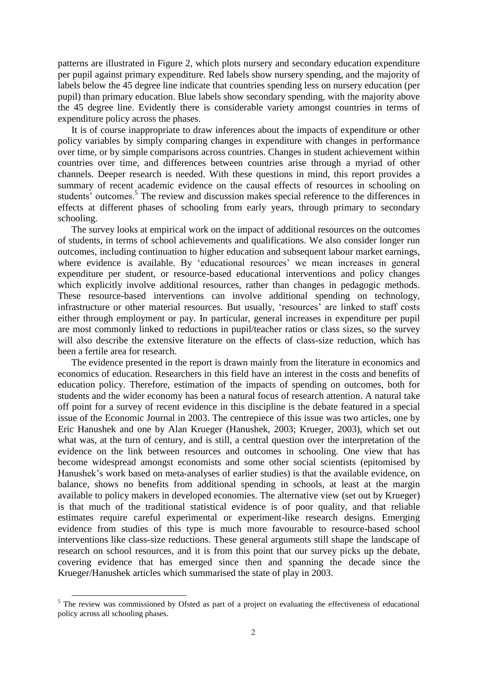patterns are illustrated in Figure 2, which plots nursery and secondary education expenditure per pupil against primary expenditure. Red labels show nursery spending, and the majority of labels below the 45 degree line indicate that countries spending less on nursery education (per pupil) than primary education. Blue labels show secondary spending, with the majority above the 45 degree line. Evidently there is considerable variety amongst countries in terms of expenditure policy across the phases.

It is of course inappropriate to draw inferences about the impacts of expenditure or other policy variables by simply comparing changes in expenditure with changes in performance over time, or by simple comparisons across countries. Changes in student achievement within countries over time, and differences between countries arise through a myriad of other channels. Deeper research is needed. With these questions in mind, this report provides a summary of recent academic evidence on the causal effects of resources in schooling on students' outcomes.<sup>5</sup> The review and discussion makes special reference to the differences in effects at different phases of schooling from early years, through primary to secondary schooling.

The survey looks at empirical work on the impact of additional resources on the outcomes of students, in terms of school achievements and qualifications. We also consider longer run outcomes, including continuation to higher education and subsequent labour market earnings, where evidence is available. By 'educational resources' we mean increases in general expenditure per student, or resource-based educational interventions and policy changes which explicitly involve additional resources, rather than changes in pedagogic methods. These resource-based interventions can involve additional spending on technology, infrastructure or other material resources. But usually, 'resources' are linked to staff costs either through employment or pay. In particular, general increases in expenditure per pupil are most commonly linked to reductions in pupil/teacher ratios or class sizes, so the survey will also describe the extensive literature on the effects of class-size reduction, which has been a fertile area for research.

The evidence presented in the report is drawn mainly from the literature in economics and economics of education. Researchers in this field have an interest in the costs and benefits of education policy. Therefore, estimation of the impacts of spending on outcomes, both for students and the wider economy has been a natural focus of research attention. A natural take off point for a survey of recent evidence in this discipline is the debate featured in a special issue of the Economic Journal in 2003. The centrepiece of this issue was two articles, one by Eric Hanushek and one by Alan Krueger (Hanushek, 2003; Krueger, 2003), which set out what was, at the turn of century, and is still, a central question over the interpretation of the evidence on the link between resources and outcomes in schooling. One view that has become widespread amongst economists and some other social scientists (epitomised by Hanushek's work based on meta-analyses of earlier studies) is that the available evidence, on balance, shows no benefits from additional spending in schools, at least at the margin available to policy makers in developed economies. The alternative view (set out by Krueger) is that much of the traditional statistical evidence is of poor quality, and that reliable estimates require careful experimental or experiment-like research designs. Emerging evidence from studies of this type is much more favourable to resource-based school interventions like class-size reductions. These general arguments still shape the landscape of research on school resources, and it is from this point that our survey picks up the debate, covering evidence that has emerged since then and spanning the decade since the Krueger/Hanushek articles which summarised the state of play in 2003.

 $\ddot{\phantom{a}}$ 

 $<sup>5</sup>$  The review was commissioned by Ofsted as part of a project on evaluating the effectiveness of educational</sup> policy across all schooling phases.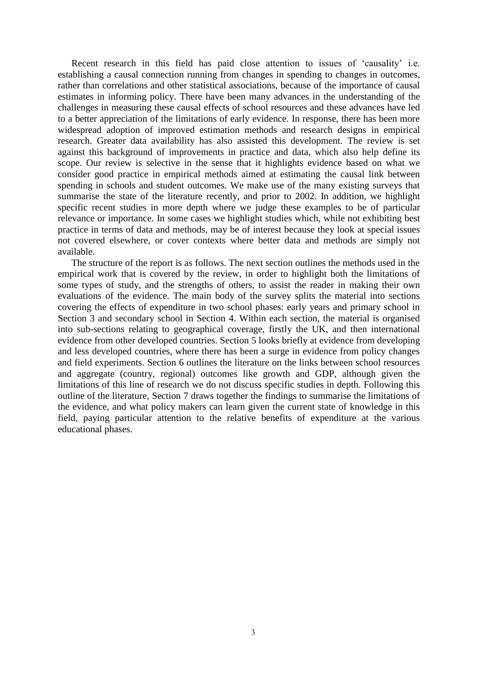Recent research in this field has paid close attention to issues of 'causality' i.e. establishing a causal connection running from changes in spending to changes in outcomes, rather than correlations and other statistical associations, because of the importance of causal estimates in informing policy. There have been many advances in the understanding of the challenges in measuring these causal effects of school resources and these advances have led to a better appreciation of the limitations of early evidence. In response, there has been more widespread adoption of improved estimation methods and research designs in empirical research. Greater data availability has also assisted this development. The review is set against this background of improvements in practice and data, which also help define its scope. Our review is selective in the sense that it highlights evidence based on what we consider good practice in empirical methods aimed at estimating the causal link between spending in schools and student outcomes. We make use of the many existing surveys that summarise the state of the literature recently, and prior to 2002. In addition, we highlight specific recent studies in more depth where we judge these examples to be of particular relevance or importance. In some cases we highlight studies which, while not exhibiting best practice in terms of data and methods, may be of interest because they look at special issues not covered elsewhere, or cover contexts where better data and methods are simply not available.

The structure of the report is as follows. The next section outlines the methods used in the empirical work that is covered by the review, in order to highlight both the limitations of some types of study, and the strengths of others, to assist the reader in making their own evaluations of the evidence. The main body of the survey splits the material into sections covering the effects of expenditure in two school phases: early years and primary school in Section 3 and secondary school in Section 4. Within each section, the material is organised into sub-sections relating to geographical coverage, firstly the UK, and then international evidence from other developed countries. Section 5 looks briefly at evidence from developing and less developed countries, where there has been a surge in evidence from policy changes and field experiments. Section 6 outlines the literature on the links between school resources and aggregate (country, regional) outcomes like growth and GDP, although given the limitations of this line of research we do not discuss specific studies in depth. Following this outline of the literature, Section 7 draws together the findings to summarise the limitations of the evidence, and what policy makers can learn given the current state of knowledge in this field, paying particular attention to the relative benefits of expenditure at the various educational phases.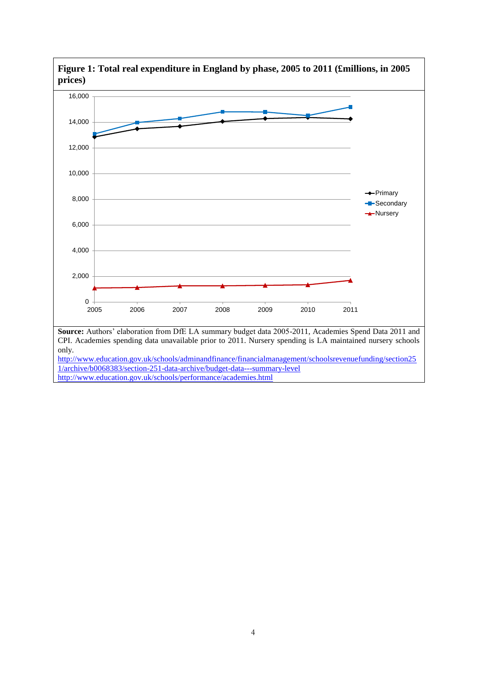

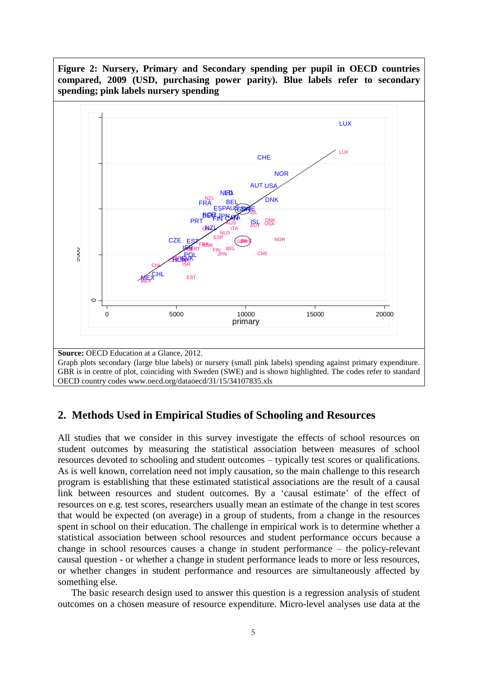

## **2. Methods Used in Empirical Studies of Schooling and Resources**

All studies that we consider in this survey investigate the effects of school resources on student outcomes by measuring the statistical association between measures of school resources devoted to schooling and student outcomes – typically test scores or qualifications. As is well known, correlation need not imply causation, so the main challenge to this research program is establishing that these estimated statistical associations are the result of a causal link between resources and student outcomes. By a 'causal estimate' of the effect of resources on e.g. test scores, researchers usually mean an estimate of the change in test scores that would be expected (on average) in a group of students, from a change in the resources spent in school on their education. The challenge in empirical work is to determine whether a statistical association between school resources and student performance occurs because a change in school resources causes a change in student performance – the policy-relevant causal question - or whether a change in student performance leads to more or less resources, or whether changes in student performance and resources are simultaneously affected by something else.

The basic research design used to answer this question is a regression analysis of student outcomes on a chosen measure of resource expenditure. Micro-level analyses use data at the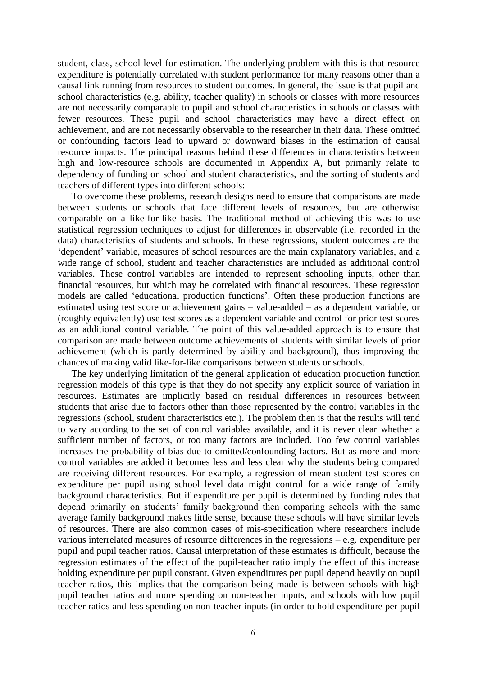student, class, school level for estimation. The underlying problem with this is that resource expenditure is potentially correlated with student performance for many reasons other than a causal link running from resources to student outcomes. In general, the issue is that pupil and school characteristics (e.g. ability, teacher quality) in schools or classes with more resources are not necessarily comparable to pupil and school characteristics in schools or classes with fewer resources. These pupil and school characteristics may have a direct effect on achievement, and are not necessarily observable to the researcher in their data. These omitted or confounding factors lead to upward or downward biases in the estimation of causal resource impacts. The principal reasons behind these differences in characteristics between high and low-resource schools are documented in Appendix A, but primarily relate to dependency of funding on school and student characteristics, and the sorting of students and teachers of different types into different schools:

To overcome these problems, research designs need to ensure that comparisons are made between students or schools that face different levels of resources, but are otherwise comparable on a like-for-like basis. The traditional method of achieving this was to use statistical regression techniques to adjust for differences in observable (i.e. recorded in the data) characteristics of students and schools. In these regressions, student outcomes are the 'dependent' variable, measures of school resources are the main explanatory variables, and a wide range of school, student and teacher characteristics are included as additional control variables. These control variables are intended to represent schooling inputs, other than financial resources, but which may be correlated with financial resources. These regression models are called 'educational production functions'. Often these production functions are estimated using test score or achievement gains – value-added – as a dependent variable, or (roughly equivalently) use test scores as a dependent variable and control for prior test scores as an additional control variable. The point of this value-added approach is to ensure that comparison are made between outcome achievements of students with similar levels of prior achievement (which is partly determined by ability and background), thus improving the chances of making valid like-for-like comparisons between students or schools.

The key underlying limitation of the general application of education production function regression models of this type is that they do not specify any explicit source of variation in resources. Estimates are implicitly based on residual differences in resources between students that arise due to factors other than those represented by the control variables in the regressions (school, student characteristics etc.). The problem then is that the results will tend to vary according to the set of control variables available, and it is never clear whether a sufficient number of factors, or too many factors are included. Too few control variables increases the probability of bias due to omitted/confounding factors. But as more and more control variables are added it becomes less and less clear why the students being compared are receiving different resources. For example, a regression of mean student test scores on expenditure per pupil using school level data might control for a wide range of family background characteristics. But if expenditure per pupil is determined by funding rules that depend primarily on students' family background then comparing schools with the same average family background makes little sense, because these schools will have similar levels of resources. There are also common cases of mis-specification where researchers include various interrelated measures of resource differences in the regressions – e.g. expenditure per pupil and pupil teacher ratios. Causal interpretation of these estimates is difficult, because the regression estimates of the effect of the pupil-teacher ratio imply the effect of this increase holding expenditure per pupil constant. Given expenditures per pupil depend heavily on pupil teacher ratios, this implies that the comparison being made is between schools with high pupil teacher ratios and more spending on non-teacher inputs, and schools with low pupil teacher ratios and less spending on non-teacher inputs (in order to hold expenditure per pupil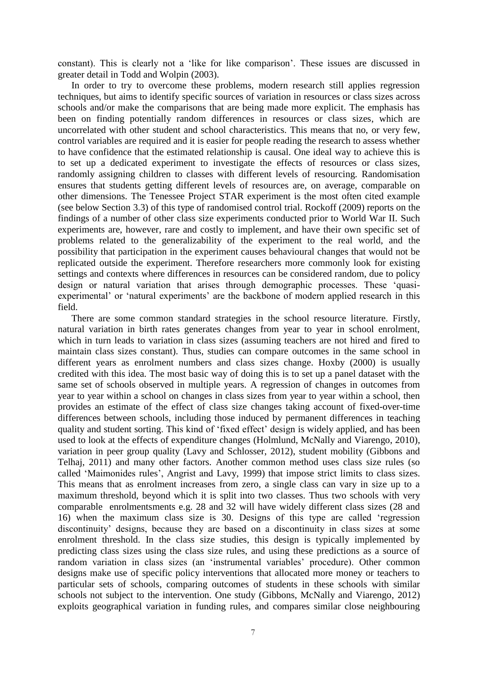constant). This is clearly not a 'like for like comparison'. These issues are discussed in greater detail in Todd and Wolpin (2003).

In order to try to overcome these problems, modern research still applies regression techniques, but aims to identify specific sources of variation in resources or class sizes across schools and/or make the comparisons that are being made more explicit. The emphasis has been on finding potentially random differences in resources or class sizes, which are uncorrelated with other student and school characteristics. This means that no, or very few, control variables are required and it is easier for people reading the research to assess whether to have confidence that the estimated relationship is causal. One ideal way to achieve this is to set up a dedicated experiment to investigate the effects of resources or class sizes, randomly assigning children to classes with different levels of resourcing. Randomisation ensures that students getting different levels of resources are, on average, comparable on other dimensions. The Tenessee Project STAR experiment is the most often cited example (see below Section 3.3) of this type of randomised control trial. Rockoff (2009) reports on the findings of a number of other class size experiments conducted prior to World War II. Such experiments are, however, rare and costly to implement, and have their own specific set of problems related to the generalizability of the experiment to the real world, and the possibility that participation in the experiment causes behavioural changes that would not be replicated outside the experiment. Therefore researchers more commonly look for existing settings and contexts where differences in resources can be considered random, due to policy design or natural variation that arises through demographic processes. These 'quasiexperimental' or 'natural experiments' are the backbone of modern applied research in this field.

There are some common standard strategies in the school resource literature. Firstly, natural variation in birth rates generates changes from year to year in school enrolment, which in turn leads to variation in class sizes (assuming teachers are not hired and fired to maintain class sizes constant). Thus, studies can compare outcomes in the same school in different years as enrolment numbers and class sizes change. Hoxby (2000) is usually credited with this idea. The most basic way of doing this is to set up a panel dataset with the same set of schools observed in multiple years. A regression of changes in outcomes from year to year within a school on changes in class sizes from year to year within a school, then provides an estimate of the effect of class size changes taking account of fixed-over-time differences between schools, including those induced by permanent differences in teaching quality and student sorting. This kind of 'fixed effect' design is widely applied, and has been used to look at the effects of expenditure changes (Holmlund, McNally and Viarengo, 2010), variation in peer group quality (Lavy and Schlosser, 2012), student mobility (Gibbons and Telhaj, 2011) and many other factors. Another common method uses class size rules (so called 'Maimonides rules', Angrist and Lavy, 1999) that impose strict limits to class sizes. This means that as enrolment increases from zero, a single class can vary in size up to a maximum threshold, beyond which it is split into two classes. Thus two schools with very comparable enrolmentsments e.g. 28 and 32 will have widely different class sizes (28 and 16) when the maximum class size is 30. Designs of this type are called 'regression discontinuity' designs, because they are based on a discontinuity in class sizes at some enrolment threshold. In the class size studies, this design is typically implemented by predicting class sizes using the class size rules, and using these predictions as a source of random variation in class sizes (an 'instrumental variables' procedure). Other common designs make use of specific policy interventions that allocated more money or teachers to particular sets of schools, comparing outcomes of students in these schools with similar schools not subject to the intervention. One study (Gibbons, McNally and Viarengo, 2012) exploits geographical variation in funding rules, and compares similar close neighbouring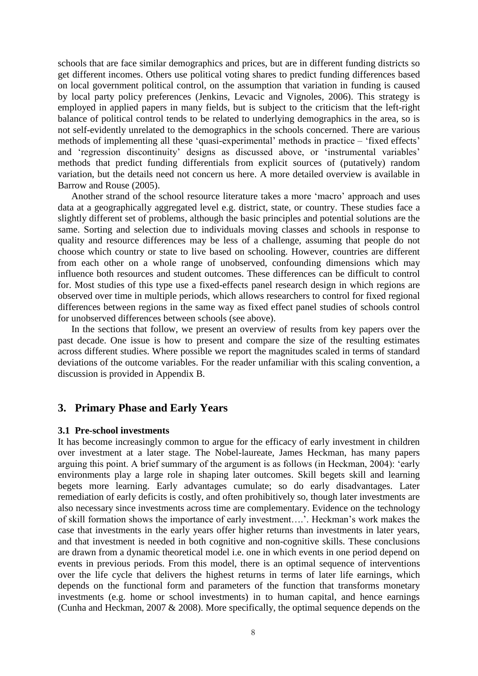schools that are face similar demographics and prices, but are in different funding districts so get different incomes. Others use political voting shares to predict funding differences based on local government political control, on the assumption that variation in funding is caused by local party policy preferences (Jenkins, Levacic and Vignoles, 2006). This strategy is employed in applied papers in many fields, but is subject to the criticism that the left-right balance of political control tends to be related to underlying demographics in the area, so is not self-evidently unrelated to the demographics in the schools concerned. There are various methods of implementing all these 'quasi-experimental' methods in practice – 'fixed effects' and 'regression discontinuity' designs as discussed above, or 'instrumental variables' methods that predict funding differentials from explicit sources of (putatively) random variation, but the details need not concern us here. A more detailed overview is available in Barrow and Rouse (2005).

Another strand of the school resource literature takes a more 'macro' approach and uses data at a geographically aggregated level e.g. district, state, or country. These studies face a slightly different set of problems, although the basic principles and potential solutions are the same. Sorting and selection due to individuals moving classes and schools in response to quality and resource differences may be less of a challenge, assuming that people do not choose which country or state to live based on schooling. However, countries are different from each other on a whole range of unobserved, confounding dimensions which may influence both resources and student outcomes. These differences can be difficult to control for. Most studies of this type use a fixed-effects panel research design in which regions are observed over time in multiple periods, which allows researchers to control for fixed regional differences between regions in the same way as fixed effect panel studies of schools control for unobserved differences between schools (see above).

In the sections that follow, we present an overview of results from key papers over the past decade. One issue is how to present and compare the size of the resulting estimates across different studies. Where possible we report the magnitudes scaled in terms of standard deviations of the outcome variables. For the reader unfamiliar with this scaling convention, a discussion is provided in Appendix B.

## **3. Primary Phase and Early Years**

#### **3.1 Pre-school investments**

It has become increasingly common to argue for the efficacy of early investment in children over investment at a later stage. The Nobel-laureate, James Heckman, has many papers arguing this point. A brief summary of the argument is as follows (in Heckman, 2004): 'early environments play a large role in shaping later outcomes. Skill begets skill and learning begets more learning. Early advantages cumulate; so do early disadvantages. Later remediation of early deficits is costly, and often prohibitively so, though later investments are also necessary since investments across time are complementary. Evidence on the technology of skill formation shows the importance of early investment….'. Heckman's work makes the case that investments in the early years offer higher returns than investments in later years, and that investment is needed in both cognitive and non-cognitive skills. These conclusions are drawn from a dynamic theoretical model i.e. one in which events in one period depend on events in previous periods. From this model, there is an optimal sequence of interventions over the life cycle that delivers the highest returns in terms of later life earnings, which depends on the functional form and parameters of the function that transforms monetary investments (e.g. home or school investments) in to human capital, and hence earnings (Cunha and Heckman, 2007 & 2008). More specifically, the optimal sequence depends on the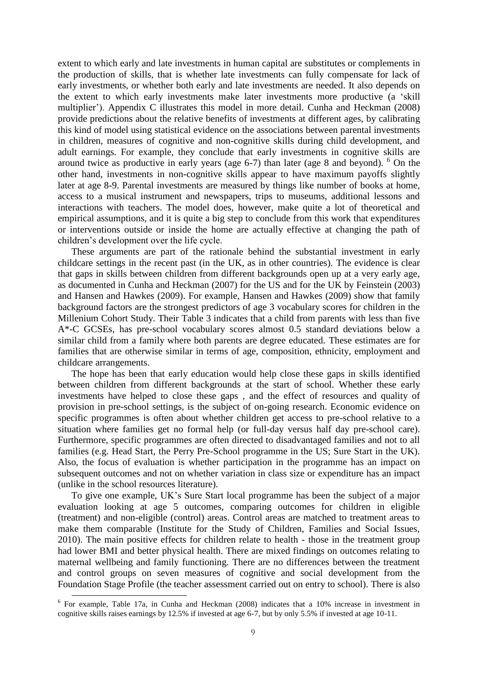extent to which early and late investments in human capital are substitutes or complements in the production of skills, that is whether late investments can fully compensate for lack of early investments, or whether both early and late investments are needed. It also depends on the extent to which early investments make later investments more productive (a 'skill multiplier'). Appendix C illustrates this model in more detail. Cunha and Heckman (2008) provide predictions about the relative benefits of investments at different ages, by calibrating this kind of model using statistical evidence on the associations between parental investments in children, measures of cognitive and non-cognitive skills during child development, and adult earnings. For example, they conclude that early investments in cognitive skills are around twice as productive in early years (age  $6-7$ ) than later (age 8 and beyond). <sup>6</sup> On the other hand, investments in non-cognitive skills appear to have maximum payoffs slightly later at age 8-9. Parental investments are measured by things like number of books at home, access to a musical instrument and newspapers, trips to museums, additional lessons and interactions with teachers. The model does, however, make quite a lot of theoretical and empirical assumptions, and it is quite a big step to conclude from this work that expenditures or interventions outside or inside the home are actually effective at changing the path of children's development over the life cycle.

These arguments are part of the rationale behind the substantial investment in early childcare settings in the recent past (in the UK, as in other countries). The evidence is clear that gaps in skills between children from different backgrounds open up at a very early age, as documented in Cunha and Heckman (2007) for the US and for the UK by Feinstein (2003) and Hansen and Hawkes (2009). For example, Hansen and Hawkes (2009) show that family background factors are the strongest predictors of age 3 vocabulary scores for children in the Millenium Cohort Study. Their Table 3 indicates that a child from parents with less than five A\*-C GCSEs, has pre-school vocabulary scores almost 0.5 standard deviations below a similar child from a family where both parents are degree educated. These estimates are for families that are otherwise similar in terms of age, composition, ethnicity, employment and childcare arrangements.

The hope has been that early education would help close these gaps in skills identified between children from different backgrounds at the start of school. Whether these early investments have helped to close these gaps , and the effect of resources and quality of provision in pre-school settings, is the subject of on-going research. Economic evidence on specific programmes is often about whether children get access to pre-school relative to a situation where families get no formal help (or full-day versus half day pre-school care). Furthermore, specific programmes are often directed to disadvantaged families and not to all families (e.g. Head Start, the Perry Pre-School programme in the US; Sure Start in the UK). Also, the focus of evaluation is whether participation in the programme has an impact on subsequent outcomes and not on whether variation in class size or expenditure has an impact (unlike in the school resources literature).

To give one example, UK's Sure Start local programme has been the subject of a major evaluation looking at age 5 outcomes, comparing outcomes for children in eligible (treatment) and non-eligible (control) areas. Control areas are matched to treatment areas to make them comparable (Institute for the Study of Children, Families and Social Issues, 2010). The main positive effects for children relate to health - those in the treatment group had lower BMI and better physical health. There are mixed findings on outcomes relating to maternal wellbeing and family functioning. There are no differences between the treatment and control groups on seven measures of cognitive and social development from the Foundation Stage Profile (the teacher assessment carried out on entry to school). There is also

<sup>&</sup>lt;sup>6</sup> For example, Table 17a, in Cunha and Heckman (2008) indicates that a 10% increase in investment in cognitive skills raises earnings by 12.5% if invested at age 6-7, but by only 5.5% if invested at age 10-11.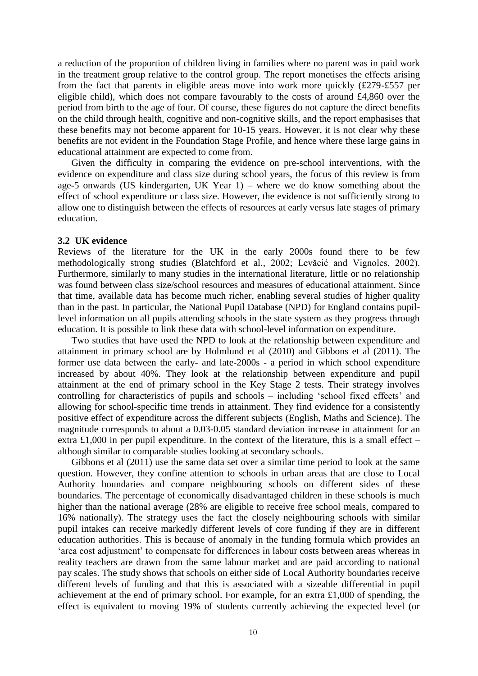a reduction of the proportion of children living in families where no parent was in paid work in the treatment group relative to the control group. The report monetises the effects arising from the fact that parents in eligible areas move into work more quickly (£279-£557 per eligible child), which does not compare favourably to the costs of around £4,860 over the period from birth to the age of four. Of course, these figures do not capture the direct benefits on the child through health, cognitive and non-cognitive skills, and the report emphasises that these benefits may not become apparent for 10-15 years. However, it is not clear why these benefits are not evident in the Foundation Stage Profile, and hence where these large gains in educational attainment are expected to come from.

Given the difficulty in comparing the evidence on pre-school interventions, with the evidence on expenditure and class size during school years, the focus of this review is from age-5 onwards (US kindergarten, UK Year 1) – where we do know something about the effect of school expenditure or class size. However, the evidence is not sufficiently strong to allow one to distinguish between the effects of resources at early versus late stages of primary education.

#### **3.2 UK evidence**

Reviews of the literature for the UK in the early 2000s found there to be few methodologically strong studies (Blatchford et al., 2002; Levăcić and Vignoles, 2002). Furthermore, similarly to many studies in the international literature, little or no relationship was found between class size/school resources and measures of educational attainment. Since that time, available data has become much richer, enabling several studies of higher quality than in the past. In particular, the National Pupil Database (NPD) for England contains pupillevel information on all pupils attending schools in the state system as they progress through education. It is possible to link these data with school-level information on expenditure.

Two studies that have used the NPD to look at the relationship between expenditure and attainment in primary school are by Holmlund et al (2010) and Gibbons et al (2011). The former use data between the early- and late-2000s - a period in which school expenditure increased by about 40%. They look at the relationship between expenditure and pupil attainment at the end of primary school in the Key Stage 2 tests. Their strategy involves controlling for characteristics of pupils and schools – including 'school fixed effects' and allowing for school-specific time trends in attainment. They find evidence for a consistently positive effect of expenditure across the different subjects (English, Maths and Science). The magnitude corresponds to about a 0.03-0.05 standard deviation increase in attainment for an extra £1,000 in per pupil expenditure. In the context of the literature, this is a small effect – although similar to comparable studies looking at secondary schools.

Gibbons et al (2011) use the same data set over a similar time period to look at the same question. However, they confine attention to schools in urban areas that are close to Local Authority boundaries and compare neighbouring schools on different sides of these boundaries. The percentage of economically disadvantaged children in these schools is much higher than the national average (28% are eligible to receive free school meals, compared to 16% nationally). The strategy uses the fact the closely neighbouring schools with similar pupil intakes can receive markedly different levels of core funding if they are in different education authorities. This is because of anomaly in the funding formula which provides an 'area cost adjustment' to compensate for differences in labour costs between areas whereas in reality teachers are drawn from the same labour market and are paid according to national pay scales. The study shows that schools on either side of Local Authority boundaries receive different levels of funding and that this is associated with a sizeable differential in pupil achievement at the end of primary school. For example, for an extra £1,000 of spending, the effect is equivalent to moving 19% of students currently achieving the expected level (or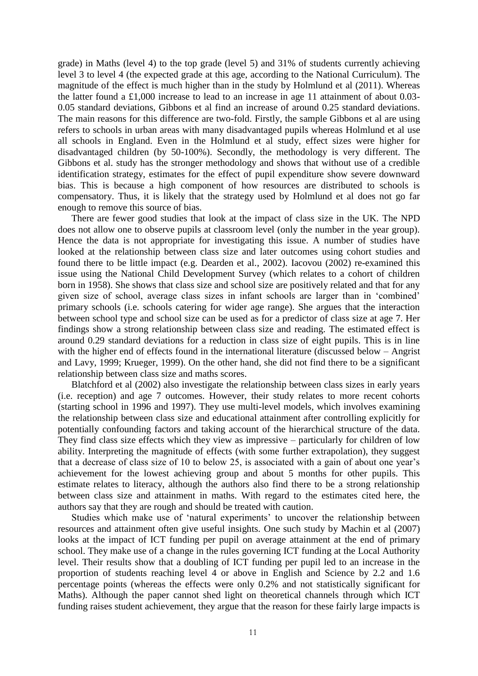grade) in Maths (level 4) to the top grade (level 5) and 31% of students currently achieving level 3 to level 4 (the expected grade at this age, according to the National Curriculum). The magnitude of the effect is much higher than in the study by Holmlund et al (2011). Whereas the latter found a £1,000 increase to lead to an increase in age 11 attainment of about 0.03- 0.05 standard deviations, Gibbons et al find an increase of around 0.25 standard deviations. The main reasons for this difference are two-fold. Firstly, the sample Gibbons et al are using refers to schools in urban areas with many disadvantaged pupils whereas Holmlund et al use all schools in England. Even in the Holmlund et al study, effect sizes were higher for disadvantaged children (by 50-100%). Secondly, the methodology is very different. The Gibbons et al. study has the stronger methodology and shows that without use of a credible identification strategy, estimates for the effect of pupil expenditure show severe downward bias. This is because a high component of how resources are distributed to schools is compensatory. Thus, it is likely that the strategy used by Holmlund et al does not go far enough to remove this source of bias.

There are fewer good studies that look at the impact of class size in the UK. The NPD does not allow one to observe pupils at classroom level (only the number in the year group). Hence the data is not appropriate for investigating this issue. A number of studies have looked at the relationship between class size and later outcomes using cohort studies and found there to be little impact (e.g. Dearden et al., 2002). Iacovou (2002) re-examined this issue using the National Child Development Survey (which relates to a cohort of children born in 1958). She shows that class size and school size are positively related and that for any given size of school, average class sizes in infant schools are larger than in 'combined' primary schools (i.e. schools catering for wider age range). She argues that the interaction between school type and school size can be used as for a predictor of class size at age 7. Her findings show a strong relationship between class size and reading. The estimated effect is around 0.29 standard deviations for a reduction in class size of eight pupils. This is in line with the higher end of effects found in the international literature (discussed below – Angrist and Lavy, 1999; Krueger, 1999). On the other hand, she did not find there to be a significant relationship between class size and maths scores.

Blatchford et al (2002) also investigate the relationship between class sizes in early years (i.e. reception) and age 7 outcomes. However, their study relates to more recent cohorts (starting school in 1996 and 1997). They use multi-level models, which involves examining the relationship between class size and educational attainment after controlling explicitly for potentially confounding factors and taking account of the hierarchical structure of the data. They find class size effects which they view as impressive – particularly for children of low ability. Interpreting the magnitude of effects (with some further extrapolation), they suggest that a decrease of class size of 10 to below 25, is associated with a gain of about one year's achievement for the lowest achieving group and about 5 months for other pupils. This estimate relates to literacy, although the authors also find there to be a strong relationship between class size and attainment in maths. With regard to the estimates cited here, the authors say that they are rough and should be treated with caution.

Studies which make use of 'natural experiments' to uncover the relationship between resources and attainment often give useful insights. One such study by Machin et al (2007) looks at the impact of ICT funding per pupil on average attainment at the end of primary school. They make use of a change in the rules governing ICT funding at the Local Authority level. Their results show that a doubling of ICT funding per pupil led to an increase in the proportion of students reaching level 4 or above in English and Science by 2.2 and 1.6 percentage points (whereas the effects were only 0.2% and not statistically significant for Maths). Although the paper cannot shed light on theoretical channels through which ICT funding raises student achievement, they argue that the reason for these fairly large impacts is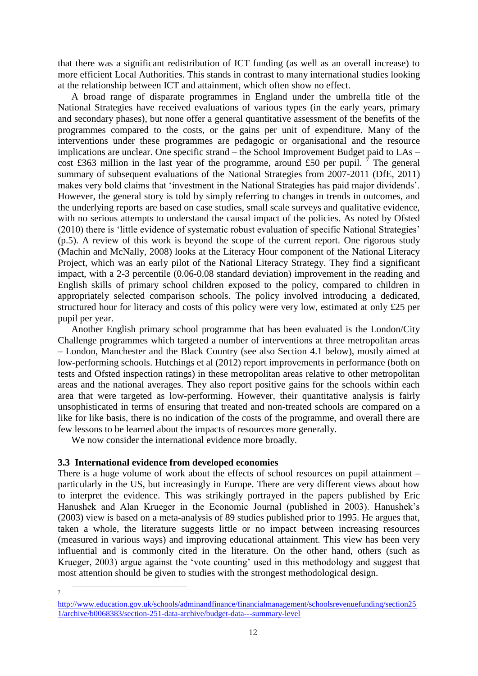that there was a significant redistribution of ICT funding (as well as an overall increase) to more efficient Local Authorities. This stands in contrast to many international studies looking at the relationship between ICT and attainment, which often show no effect.

A broad range of disparate programmes in England under the umbrella title of the National Strategies have received evaluations of various types (in the early years, primary and secondary phases), but none offer a general quantitative assessment of the benefits of the programmes compared to the costs, or the gains per unit of expenditure. Many of the interventions under these programmes are pedagogic or organisational and the resource implications are unclear. One specific strand – the School Improvement Budget paid to LAs – cost £363 million in the last year of the programme, around £50 per pupil. <sup>7</sup> The general summary of subsequent evaluations of the National Strategies from 2007-2011 (DfE, 2011) makes very bold claims that 'investment in the National Strategies has paid major dividends'. However, the general story is told by simply referring to changes in trends in outcomes, and the underlying reports are based on case studies, small scale surveys and qualitative evidence, with no serious attempts to understand the causal impact of the policies. As noted by Ofsted (2010) there is 'little evidence of systematic robust evaluation of specific National Strategies' (p.5). A review of this work is beyond the scope of the current report. One rigorous study (Machin and McNally, 2008) looks at the Literacy Hour component of the National Literacy Project, which was an early pilot of the National Literacy Strategy. They find a significant impact, with a 2-3 percentile (0.06-0.08 standard deviation) improvement in the reading and English skills of primary school children exposed to the policy, compared to children in appropriately selected comparison schools. The policy involved introducing a dedicated, structured hour for literacy and costs of this policy were very low, estimated at only £25 per pupil per year.

Another English primary school programme that has been evaluated is the London/City Challenge programmes which targeted a number of interventions at three metropolitan areas – London, Manchester and the Black Country (see also Section 4.1 below), mostly aimed at low-performing schools. Hutchings et al (2012) report improvements in performance (both on tests and Ofsted inspection ratings) in these metropolitan areas relative to other metropolitan areas and the national averages. They also report positive gains for the schools within each area that were targeted as low-performing. However, their quantitative analysis is fairly unsophisticated in terms of ensuring that treated and non-treated schools are compared on a like for like basis, there is no indication of the costs of the programme, and overall there are few lessons to be learned about the impacts of resources more generally.

We now consider the international evidence more broadly.

#### **3.3 International evidence from developed economies**

There is a huge volume of work about the effects of school resources on pupil attainment – particularly in the US, but increasingly in Europe. There are very different views about how to interpret the evidence. This was strikingly portrayed in the papers published by Eric Hanushek and Alan Krueger in the Economic Journal (published in 2003). Hanushek's (2003) view is based on a meta-analysis of 89 studies published prior to 1995. He argues that, taken a whole, the literature suggests little or no impact between increasing resources (measured in various ways) and improving educational attainment. This view has been very influential and is commonly cited in the literature. On the other hand, others (such as Krueger, 2003) argue against the 'vote counting' used in this methodology and suggest that most attention should be given to studies with the strongest methodological design.

 $\ddot{\phantom{a}}$ 

<sup>7</sup>

[http://www.education.gov.uk/schools/adminandfinance/financialmanagement/schoolsrevenuefunding/section25](http://www.education.gov.uk/schools/adminandfinance/financialmanagement/schoolsrevenuefunding/section251/archive/b0068383/section-251-data-archive/budget-data---summary-level) [1/archive/b0068383/section-251-data-archive/budget-data---summary-level](http://www.education.gov.uk/schools/adminandfinance/financialmanagement/schoolsrevenuefunding/section251/archive/b0068383/section-251-data-archive/budget-data---summary-level)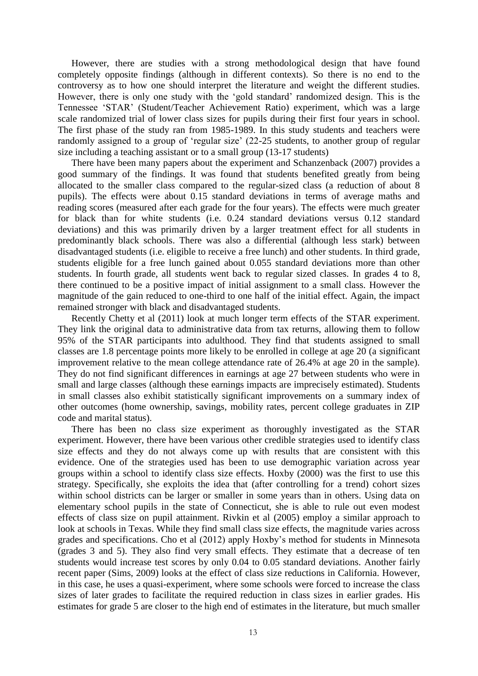However, there are studies with a strong methodological design that have found completely opposite findings (although in different contexts). So there is no end to the controversy as to how one should interpret the literature and weight the different studies. However, there is only one study with the 'gold standard' randomized design. This is the Tennessee 'STAR' (Student/Teacher Achievement Ratio) experiment, which was a large scale randomized trial of lower class sizes for pupils during their first four years in school. The first phase of the study ran from 1985-1989. In this study students and teachers were randomly assigned to a group of 'regular size' (22-25 students, to another group of regular size including a teaching assistant or to a small group (13-17 students)

There have been many papers about the experiment and Schanzenback (2007) provides a good summary of the findings. It was found that students benefited greatly from being allocated to the smaller class compared to the regular-sized class (a reduction of about 8 pupils). The effects were about 0.15 standard deviations in terms of average maths and reading scores (measured after each grade for the four years). The effects were much greater for black than for white students (i.e. 0.24 standard deviations versus 0.12 standard deviations) and this was primarily driven by a larger treatment effect for all students in predominantly black schools. There was also a differential (although less stark) between disadvantaged students (i.e. eligible to receive a free lunch) and other students. In third grade, students eligible for a free lunch gained about 0.055 standard deviations more than other students. In fourth grade, all students went back to regular sized classes. In grades 4 to 8, there continued to be a positive impact of initial assignment to a small class. However the magnitude of the gain reduced to one-third to one half of the initial effect. Again, the impact remained stronger with black and disadvantaged students.

Recently Chetty et al (2011) look at much longer term effects of the STAR experiment. They link the original data to administrative data from tax returns, allowing them to follow 95% of the STAR participants into adulthood. They find that students assigned to small classes are 1.8 percentage points more likely to be enrolled in college at age 20 (a significant improvement relative to the mean college attendance rate of 26.4% at age 20 in the sample). They do not find significant differences in earnings at age 27 between students who were in small and large classes (although these earnings impacts are imprecisely estimated). Students in small classes also exhibit statistically significant improvements on a summary index of other outcomes (home ownership, savings, mobility rates, percent college graduates in ZIP code and marital status).

There has been no class size experiment as thoroughly investigated as the STAR experiment. However, there have been various other credible strategies used to identify class size effects and they do not always come up with results that are consistent with this evidence. One of the strategies used has been to use demographic variation across year groups within a school to identify class size effects. Hoxby (2000) was the first to use this strategy. Specifically, she exploits the idea that (after controlling for a trend) cohort sizes within school districts can be larger or smaller in some years than in others. Using data on elementary school pupils in the state of Connecticut, she is able to rule out even modest effects of class size on pupil attainment. Rivkin et al (2005) employ a similar approach to look at schools in Texas. While they find small class size effects, the magnitude varies across grades and specifications. Cho et al (2012) apply Hoxby's method for students in Minnesota (grades 3 and 5). They also find very small effects. They estimate that a decrease of ten students would increase test scores by only 0.04 to 0.05 standard deviations. Another fairly recent paper (Sims, 2009) looks at the effect of class size reductions in California. However, in this case, he uses a quasi-experiment, where some schools were forced to increase the class sizes of later grades to facilitate the required reduction in class sizes in earlier grades. His estimates for grade 5 are closer to the high end of estimates in the literature, but much smaller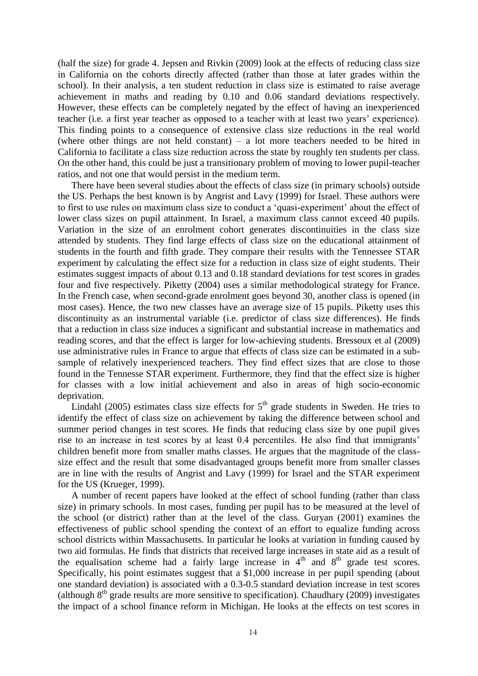(half the size) for grade 4. Jepsen and Rivkin (2009) look at the effects of reducing class size in California on the cohorts directly affected (rather than those at later grades within the school). In their analysis, a ten student reduction in class size is estimated to raise average achievement in maths and reading by 0.10 and 0.06 standard deviations respectively. However, these effects can be completely negated by the effect of having an inexperienced teacher (i.e. a first year teacher as opposed to a teacher with at least two years' experience). This finding points to a consequence of extensive class size reductions in the real world (where other things are not held constant) – a lot more teachers needed to be hired in California to facilitate a class size reduction across the state by roughly ten students per class. On the other hand, this could be just a transitionary problem of moving to lower pupil-teacher ratios, and not one that would persist in the medium term.

There have been several studies about the effects of class size (in primary schools) outside the US. Perhaps the best known is by Angrist and Lavy (1999) for Israel. These authors were to first to use rules on maximum class size to conduct a 'quasi-experiment' about the effect of lower class sizes on pupil attainment. In Israel, a maximum class cannot exceed 40 pupils. Variation in the size of an enrolment cohort generates discontinuities in the class size attended by students. They find large effects of class size on the educational attainment of students in the fourth and fifth grade. They compare their results with the Tennessee STAR experiment by calculating the effect size for a reduction in class size of eight students. Their estimates suggest impacts of about 0.13 and 0.18 standard deviations for test scores in grades four and five respectively. Piketty (2004) uses a similar methodological strategy for France. In the French case, when second-grade enrolment goes beyond 30, another class is opened (in most cases). Hence, the two new classes have an average size of 15 pupils. Piketty uses this discontinuity as an instrumental variable (i.e. predictor of class size differences). He finds that a reduction in class size induces a significant and substantial increase in mathematics and reading scores, and that the effect is larger for low-achieving students. Bressoux et al (2009) use administrative rules in France to argue that effects of class size can be estimated in a subsample of relatively inexperienced teachers. They find effect sizes that are close to those found in the Tennesse STAR experiment. Furthermore, they find that the effect size is higher for classes with a low initial achievement and also in areas of high socio-economic deprivation.

Lindahl (2005) estimates class size effects for  $5<sup>th</sup>$  grade students in Sweden. He tries to identify the effect of class size on achievement by taking the difference between school and summer period changes in test scores. He finds that reducing class size by one pupil gives rise to an increase in test scores by at least 0.4 percentiles. He also find that immigrants' children benefit more from smaller maths classes. He argues that the magnitude of the classsize effect and the result that some disadvantaged groups benefit more from smaller classes are in line with the results of Angrist and Lavy (1999) for Israel and the STAR experiment for the US (Krueger, 1999).

A number of recent papers have looked at the effect of school funding (rather than class size) in primary schools. In most cases, funding per pupil has to be measured at the level of the school (or district) rather than at the level of the class. Guryan (2001) examines the effectiveness of public school spending the context of an effort to equalize funding across school districts within Massachusetts. In particular he looks at variation in funding caused by two aid formulas. He finds that districts that received large increases in state aid as a result of the equalisation scheme had a fairly large increase in  $4<sup>th</sup>$  and  $8<sup>th</sup>$  grade test scores. Specifically, his point estimates suggest that a \$1,000 increase in per pupil spending (about one standard deviation) is associated with a 0.3-0.5 standard deviation increase in test scores (although  $8<sup>th</sup>$  grade results are more sensitive to specification). Chaudhary (2009) investigates the impact of a school finance reform in Michigan. He looks at the effects on test scores in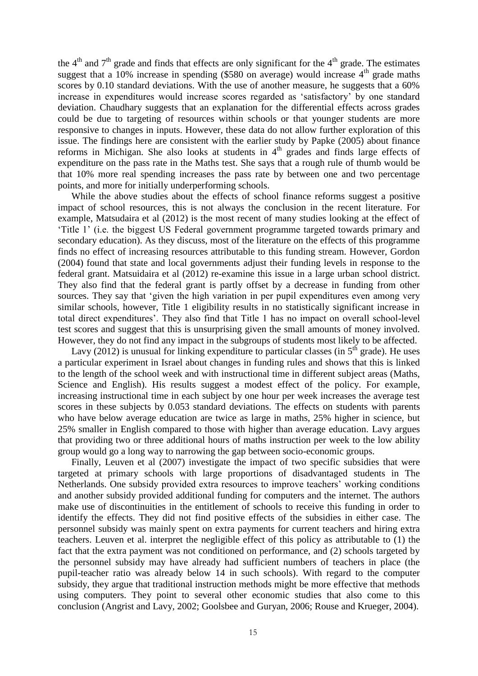the  $4<sup>th</sup>$  and  $7<sup>th</sup>$  grade and finds that effects are only significant for the  $4<sup>th</sup>$  grade. The estimates suggest that a  $10\%$  increase in spending (\$580 on average) would increase  $4<sup>th</sup>$  grade maths scores by 0.10 standard deviations. With the use of another measure, he suggests that a 60% increase in expenditures would increase scores regarded as 'satisfactory' by one standard deviation. Chaudhary suggests that an explanation for the differential effects across grades could be due to targeting of resources within schools or that younger students are more responsive to changes in inputs. However, these data do not allow further exploration of this issue. The findings here are consistent with the earlier study by Papke (2005) about finance reforms in Michigan. She also looks at students in  $4<sup>th</sup>$  grades and finds large effects of expenditure on the pass rate in the Maths test. She says that a rough rule of thumb would be that 10% more real spending increases the pass rate by between one and two percentage points, and more for initially underperforming schools.

While the above studies about the effects of school finance reforms suggest a positive impact of school resources, this is not always the conclusion in the recent literature. For example, Matsudaira et al (2012) is the most recent of many studies looking at the effect of 'Title 1' (i.e. the biggest US Federal government programme targeted towards primary and secondary education). As they discuss, most of the literature on the effects of this programme finds no effect of increasing resources attributable to this funding stream. However, Gordon (2004) found that state and local governments adjust their funding levels in response to the federal grant. Matsuidaira et al (2012) re-examine this issue in a large urban school district. They also find that the federal grant is partly offset by a decrease in funding from other sources. They say that 'given the high variation in per pupil expenditures even among very similar schools, however, Title 1 eligibility results in no statistically significant increase in total direct expenditures'. They also find that Title 1 has no impact on overall school-level test scores and suggest that this is unsurprising given the small amounts of money involved. However, they do not find any impact in the subgroups of students most likely to be affected.

Lavy (2012) is unusual for linking expenditure to particular classes (in  $5<sup>th</sup>$  grade). He uses a particular experiment in Israel about changes in funding rules and shows that this is linked to the length of the school week and with instructional time in different subject areas (Maths, Science and English). His results suggest a modest effect of the policy. For example, increasing instructional time in each subject by one hour per week increases the average test scores in these subjects by 0.053 standard deviations. The effects on students with parents who have below average education are twice as large in maths, 25% higher in science, but 25% smaller in English compared to those with higher than average education. Lavy argues that providing two or three additional hours of maths instruction per week to the low ability group would go a long way to narrowing the gap between socio-economic groups.

Finally, Leuven et al (2007) investigate the impact of two specific subsidies that were targeted at primary schools with large proportions of disadvantaged students in The Netherlands. One subsidy provided extra resources to improve teachers' working conditions and another subsidy provided additional funding for computers and the internet. The authors make use of discontinuities in the entitlement of schools to receive this funding in order to identify the effects. They did not find positive effects of the subsidies in either case. The personnel subsidy was mainly spent on extra payments for current teachers and hiring extra teachers. Leuven et al. interpret the negligible effect of this policy as attributable to (1) the fact that the extra payment was not conditioned on performance, and (2) schools targeted by the personnel subsidy may have already had sufficient numbers of teachers in place (the pupil-teacher ratio was already below 14 in such schools). With regard to the computer subsidy, they argue that traditional instruction methods might be more effective that methods using computers. They point to several other economic studies that also come to this conclusion (Angrist and Lavy, 2002; Goolsbee and Guryan, 2006; Rouse and Krueger, 2004).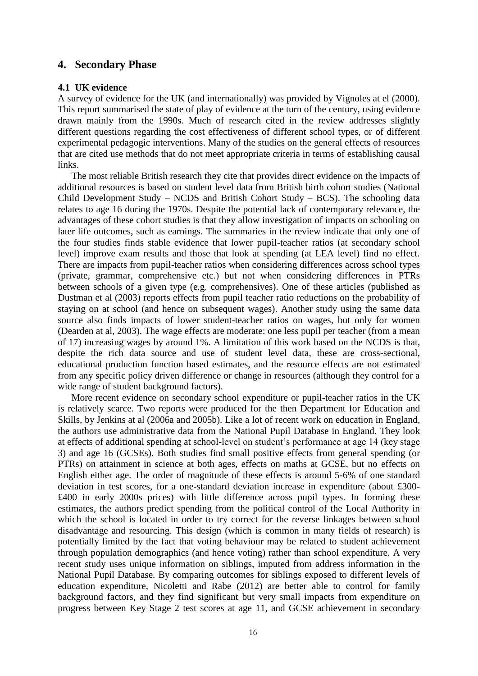## **4. Secondary Phase**

#### **4.1 UK evidence**

A survey of evidence for the UK (and internationally) was provided by Vignoles at el (2000). This report summarised the state of play of evidence at the turn of the century, using evidence drawn mainly from the 1990s. Much of research cited in the review addresses slightly different questions regarding the cost effectiveness of different school types, or of different experimental pedagogic interventions. Many of the studies on the general effects of resources that are cited use methods that do not meet appropriate criteria in terms of establishing causal links.

The most reliable British research they cite that provides direct evidence on the impacts of additional resources is based on student level data from British birth cohort studies (National Child Development Study – NCDS and British Cohort Study – BCS). The schooling data relates to age 16 during the 1970s. Despite the potential lack of contemporary relevance, the advantages of these cohort studies is that they allow investigation of impacts on schooling on later life outcomes, such as earnings. The summaries in the review indicate that only one of the four studies finds stable evidence that lower pupil-teacher ratios (at secondary school level) improve exam results and those that look at spending (at LEA level) find no effect. There are impacts from pupil-teacher ratios when considering differences across school types (private, grammar, comprehensive etc.) but not when considering differences in PTRs between schools of a given type (e.g. comprehensives). One of these articles (published as Dustman et al (2003) reports effects from pupil teacher ratio reductions on the probability of staying on at school (and hence on subsequent wages). Another study using the same data source also finds impacts of lower student-teacher ratios on wages, but only for women (Dearden at al, 2003). The wage effects are moderate: one less pupil per teacher (from a mean of 17) increasing wages by around 1%. A limitation of this work based on the NCDS is that, despite the rich data source and use of student level data, these are cross-sectional, educational production function based estimates, and the resource effects are not estimated from any specific policy driven difference or change in resources (although they control for a wide range of student background factors).

More recent evidence on secondary school expenditure or pupil-teacher ratios in the UK is relatively scarce. Two reports were produced for the then Department for Education and Skills, by Jenkins at al (2006a and 2005b). Like a lot of recent work on education in England, the authors use administrative data from the National Pupil Database in England. They look at effects of additional spending at school-level on student's performance at age 14 (key stage 3) and age 16 (GCSEs). Both studies find small positive effects from general spending (or PTRs) on attainment in science at both ages, effects on maths at GCSE, but no effects on English either age. The order of magnitude of these effects is around 5-6% of one standard deviation in test scores, for a one-standard deviation increase in expenditure (about £300- £400 in early 2000s prices) with little difference across pupil types. In forming these estimates, the authors predict spending from the political control of the Local Authority in which the school is located in order to try correct for the reverse linkages between school disadvantage and resourcing. This design (which is common in many fields of research) is potentially limited by the fact that voting behaviour may be related to student achievement through population demographics (and hence voting) rather than school expenditure. A very recent study uses unique information on siblings, imputed from address information in the National Pupil Database. By comparing outcomes for siblings exposed to different levels of education expenditure, Nicoletti and Rabe (2012) are better able to control for family background factors, and they find significant but very small impacts from expenditure on progress between Key Stage 2 test scores at age 11, and GCSE achievement in secondary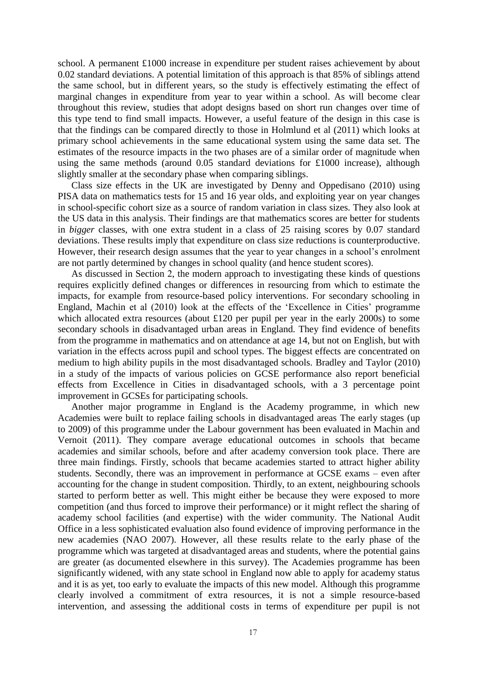school. A permanent £1000 increase in expenditure per student raises achievement by about 0.02 standard deviations. A potential limitation of this approach is that 85% of siblings attend the same school, but in different years, so the study is effectively estimating the effect of marginal changes in expenditure from year to year within a school. As will become clear throughout this review, studies that adopt designs based on short run changes over time of this type tend to find small impacts. However, a useful feature of the design in this case is that the findings can be compared directly to those in Holmlund et al (2011) which looks at primary school achievements in the same educational system using the same data set. The estimates of the resource impacts in the two phases are of a similar order of magnitude when using the same methods (around 0.05 standard deviations for £1000 increase), although slightly smaller at the secondary phase when comparing siblings.

Class size effects in the UK are investigated by Denny and Oppedisano (2010) using PISA data on mathematics tests for 15 and 16 year olds, and exploiting year on year changes in school-specific cohort size as a source of random variation in class sizes. They also look at the US data in this analysis. Their findings are that mathematics scores are better for students in *bigger* classes, with one extra student in a class of 25 raising scores by 0.07 standard deviations. These results imply that expenditure on class size reductions is counterproductive. However, their research design assumes that the year to year changes in a school's enrolment are not partly determined by changes in school quality (and hence student scores).

As discussed in Section 2, the modern approach to investigating these kinds of questions requires explicitly defined changes or differences in resourcing from which to estimate the impacts, for example from resource-based policy interventions. For secondary schooling in England, Machin et al (2010) look at the effects of the 'Excellence in Cities' programme which allocated extra resources (about £120 per pupil per year in the early 2000s) to some secondary schools in disadvantaged urban areas in England. They find evidence of benefits from the programme in mathematics and on attendance at age 14, but not on English, but with variation in the effects across pupil and school types. The biggest effects are concentrated on medium to high ability pupils in the most disadvantaged schools. Bradley and Taylor (2010) in a study of the impacts of various policies on GCSE performance also report beneficial effects from Excellence in Cities in disadvantaged schools, with a 3 percentage point improvement in GCSEs for participating schools.

Another major programme in England is the Academy programme, in which new Academies were built to replace failing schools in disadvantaged areas The early stages (up to 2009) of this programme under the Labour government has been evaluated in Machin and Vernoit (2011). They compare average educational outcomes in schools that became academies and similar schools, before and after academy conversion took place. There are three main findings. Firstly, schools that became academies started to attract higher ability students. Secondly, there was an improvement in performance at GCSE exams – even after accounting for the change in student composition. Thirdly, to an extent, neighbouring schools started to perform better as well. This might either be because they were exposed to more competition (and thus forced to improve their performance) or it might reflect the sharing of academy school facilities (and expertise) with the wider community. The National Audit Office in a less sophisticated evaluation also found evidence of improving performance in the new academies (NAO 2007). However, all these results relate to the early phase of the programme which was targeted at disadvantaged areas and students, where the potential gains are greater (as documented elsewhere in this survey). The Academies programme has been significantly widened, with any state school in England now able to apply for academy status and it is as yet, too early to evaluate the impacts of this new model. Although this programme clearly involved a commitment of extra resources, it is not a simple resource-based intervention, and assessing the additional costs in terms of expenditure per pupil is not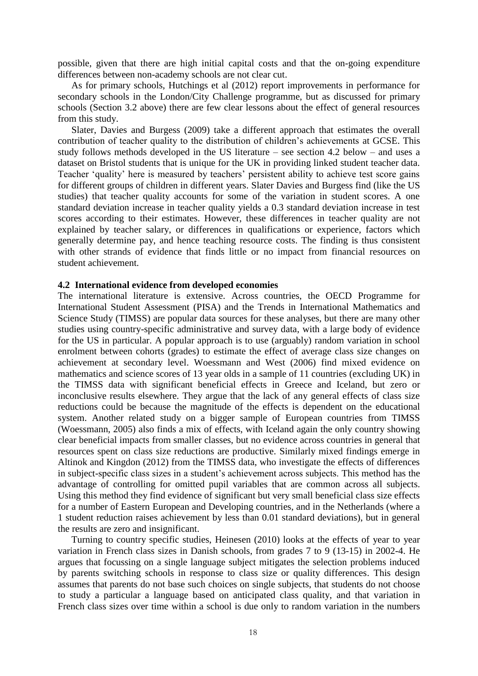possible, given that there are high initial capital costs and that the on-going expenditure differences between non-academy schools are not clear cut.

As for primary schools, Hutchings et al (2012) report improvements in performance for secondary schools in the London/City Challenge programme, but as discussed for primary schools (Section 3.2 above) there are few clear lessons about the effect of general resources from this study.

Slater, Davies and Burgess (2009) take a different approach that estimates the overall contribution of teacher quality to the distribution of children's achievements at GCSE. This study follows methods developed in the US literature – see section 4.2 below – and uses a dataset on Bristol students that is unique for the UK in providing linked student teacher data. Teacher 'quality' here is measured by teachers' persistent ability to achieve test score gains for different groups of children in different years. Slater Davies and Burgess find (like the US studies) that teacher quality accounts for some of the variation in student scores. A one standard deviation increase in teacher quality yields a 0.3 standard deviation increase in test scores according to their estimates. However, these differences in teacher quality are not explained by teacher salary, or differences in qualifications or experience, factors which generally determine pay, and hence teaching resource costs. The finding is thus consistent with other strands of evidence that finds little or no impact from financial resources on student achievement.

#### **4.2 International evidence from developed economies**

The international literature is extensive. Across countries, the OECD Programme for International Student Assessment (PISA) and the Trends in International Mathematics and Science Study (TIMSS) are popular data sources for these analyses, but there are many other studies using country-specific administrative and survey data, with a large body of evidence for the US in particular. A popular approach is to use (arguably) random variation in school enrolment between cohorts (grades) to estimate the effect of average class size changes on achievement at secondary level. Woessmann and West (2006) find mixed evidence on mathematics and science scores of 13 year olds in a sample of 11 countries (excluding UK) in the TIMSS data with significant beneficial effects in Greece and Iceland, but zero or inconclusive results elsewhere. They argue that the lack of any general effects of class size reductions could be because the magnitude of the effects is dependent on the educational system. Another related study on a bigger sample of European countries from TIMSS (Woessmann, 2005) also finds a mix of effects, with Iceland again the only country showing clear beneficial impacts from smaller classes, but no evidence across countries in general that resources spent on class size reductions are productive. Similarly mixed findings emerge in Altinok and Kingdon (2012) from the TIMSS data, who investigate the effects of differences in subject-specific class sizes in a student's achievement across subjects. This method has the advantage of controlling for omitted pupil variables that are common across all subjects. Using this method they find evidence of significant but very small beneficial class size effects for a number of Eastern European and Developing countries, and in the Netherlands (where a 1 student reduction raises achievement by less than 0.01 standard deviations), but in general the results are zero and insignificant.

Turning to country specific studies, Heinesen (2010) looks at the effects of year to year variation in French class sizes in Danish schools, from grades 7 to 9 (13-15) in 2002-4. He argues that focussing on a single language subject mitigates the selection problems induced by parents switching schools in response to class size or quality differences. This design assumes that parents do not base such choices on single subjects, that students do not choose to study a particular a language based on anticipated class quality, and that variation in French class sizes over time within a school is due only to random variation in the numbers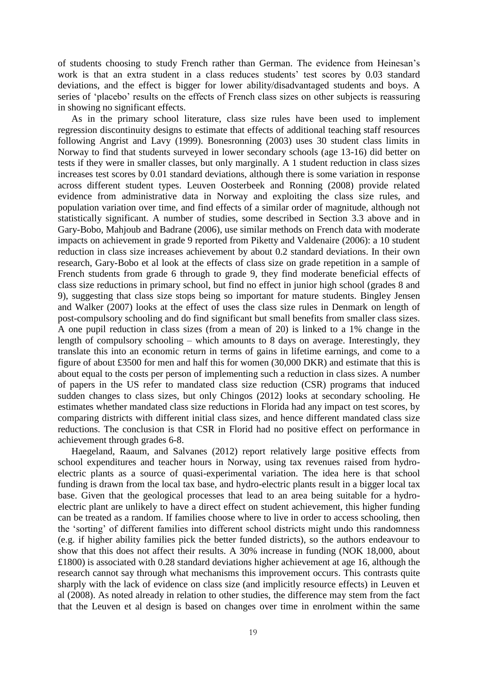of students choosing to study French rather than German. The evidence from Heinesan's work is that an extra student in a class reduces students' test scores by 0.03 standard deviations, and the effect is bigger for lower ability/disadvantaged students and boys. A series of 'placebo' results on the effects of French class sizes on other subjects is reassuring in showing no significant effects.

As in the primary school literature, class size rules have been used to implement regression discontinuity designs to estimate that effects of additional teaching staff resources following Angrist and Lavy (1999). Bonesronning (2003) uses 30 student class limits in Norway to find that students surveyed in lower secondary schools (age 13-16) did better on tests if they were in smaller classes, but only marginally. A 1 student reduction in class sizes increases test scores by 0.01 standard deviations, although there is some variation in response across different student types. Leuven Oosterbeek and Ronning (2008) provide related evidence from administrative data in Norway and exploiting the class size rules, and population variation over time, and find effects of a similar order of magnitude, although not statistically significant. A number of studies, some described in Section 3.3 above and in Gary-Bobo, Mahjoub and Badrane (2006), use similar methods on French data with moderate impacts on achievement in grade 9 reported from Piketty and Valdenaire (2006): a 10 student reduction in class size increases achievement by about 0.2 standard deviations. In their own research, Gary-Bobo et al look at the effects of class size on grade repetition in a sample of French students from grade 6 through to grade 9, they find moderate beneficial effects of class size reductions in primary school, but find no effect in junior high school (grades 8 and 9), suggesting that class size stops being so important for mature students. Bingley Jensen and Walker (2007) looks at the effect of uses the class size rules in Denmark on length of post-compulsory schooling and do find significant but small benefits from smaller class sizes. A one pupil reduction in class sizes (from a mean of 20) is linked to a 1% change in the length of compulsory schooling – which amounts to 8 days on average. Interestingly, they translate this into an economic return in terms of gains in lifetime earnings, and come to a figure of about £3500 for men and half this for women (30,000 DKR) and estimate that this is about equal to the costs per person of implementing such a reduction in class sizes. A number of papers in the US refer to mandated class size reduction (CSR) programs that induced sudden changes to class sizes, but only Chingos (2012) looks at secondary schooling. He estimates whether mandated class size reductions in Florida had any impact on test scores, by comparing districts with different initial class sizes, and hence different mandated class size reductions. The conclusion is that CSR in Florid had no positive effect on performance in achievement through grades 6-8.

Haegeland, Raaum, and Salvanes (2012) report relatively large positive effects from school expenditures and teacher hours in Norway, using tax revenues raised from hydroelectric plants as a source of quasi-experimental variation. The idea here is that school funding is drawn from the local tax base, and hydro-electric plants result in a bigger local tax base. Given that the geological processes that lead to an area being suitable for a hydroelectric plant are unlikely to have a direct effect on student achievement, this higher funding can be treated as a random. If families choose where to live in order to access schooling, then the 'sorting' of different families into different school districts might undo this randomness (e.g. if higher ability families pick the better funded districts), so the authors endeavour to show that this does not affect their results. A 30% increase in funding (NOK 18,000, about £1800) is associated with 0.28 standard deviations higher achievement at age 16, although the research cannot say through what mechanisms this improvement occurs. This contrasts quite sharply with the lack of evidence on class size (and implicitly resource effects) in Leuven et al (2008). As noted already in relation to other studies, the difference may stem from the fact that the Leuven et al design is based on changes over time in enrolment within the same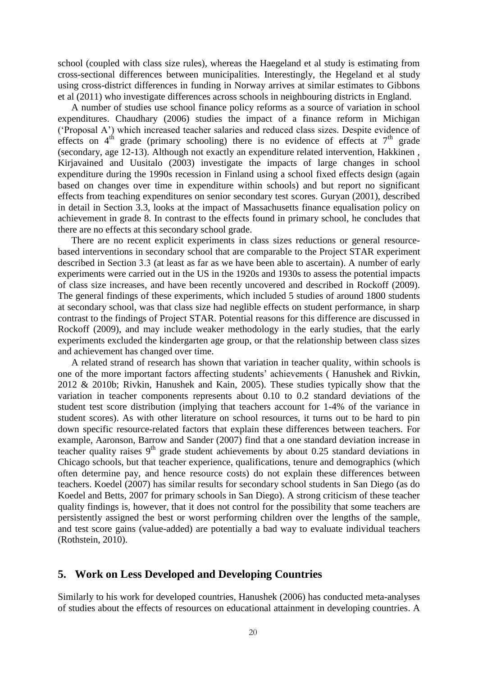school (coupled with class size rules), whereas the Haegeland et al study is estimating from cross-sectional differences between municipalities. Interestingly, the Hegeland et al study using cross-district differences in funding in Norway arrives at similar estimates to Gibbons et al (2011) who investigate differences across schools in neighbouring districts in England.

A number of studies use school finance policy reforms as a source of variation in school expenditures. Chaudhary (2006) studies the impact of a finance reform in Michigan ('Proposal A') which increased teacher salaries and reduced class sizes. Despite evidence of effects on  $4<sup>th</sup>$  grade (primary schooling) there is no evidence of effects at  $7<sup>th</sup>$  grade (secondary, age 12-13). Although not exactly an expenditure related intervention, Hakkinen , Kirjavained and Uusitalo (2003) investigate the impacts of large changes in school expenditure during the 1990s recession in Finland using a school fixed effects design (again based on changes over time in expenditure within schools) and but report no significant effects from teaching expenditures on senior secondary test scores. Guryan (2001), described in detail in Section 3.3, looks at the impact of Massachusetts finance equalisation policy on achievement in grade 8. In contrast to the effects found in primary school, he concludes that there are no effects at this secondary school grade.

There are no recent explicit experiments in class sizes reductions or general resourcebased interventions in secondary school that are comparable to the Project STAR experiment described in Section 3.3 (at least as far as we have been able to ascertain). A number of early experiments were carried out in the US in the 1920s and 1930s to assess the potential impacts of class size increases, and have been recently uncovered and described in Rockoff (2009). The general findings of these experiments, which included 5 studies of around 1800 students at secondary school, was that class size had neglible effects on student performance, in sharp contrast to the findings of Project STAR. Potential reasons for this difference are discussed in Rockoff (2009), and may include weaker methodology in the early studies, that the early experiments excluded the kindergarten age group, or that the relationship between class sizes and achievement has changed over time.

A related strand of research has shown that variation in teacher quality, within schools is one of the more important factors affecting students' achievements ( Hanushek and Rivkin, 2012 & 2010b; Rivkin, Hanushek and Kain, 2005). These studies typically show that the variation in teacher components represents about 0.10 to 0.2 standard deviations of the student test score distribution (implying that teachers account for 1-4% of the variance in student scores). As with other literature on school resources, it turns out to be hard to pin down specific resource-related factors that explain these differences between teachers. For example, Aaronson, Barrow and Sander (2007) find that a one standard deviation increase in teacher quality raises  $9<sup>th</sup>$  grade student achievements by about 0.25 standard deviations in Chicago schools, but that teacher experience, qualifications, tenure and demographics (which often determine pay, and hence resource costs) do not explain these differences between teachers. Koedel (2007) has similar results for secondary school students in San Diego (as do Koedel and Betts, 2007 for primary schools in San Diego). A strong criticism of these teacher quality findings is, however, that it does not control for the possibility that some teachers are persistently assigned the best or worst performing children over the lengths of the sample, and test score gains (value-added) are potentially a bad way to evaluate individual teachers (Rothstein, 2010).

## **5. Work on Less Developed and Developing Countries**

Similarly to his work for developed countries, Hanushek (2006) has conducted meta-analyses of studies about the effects of resources on educational attainment in developing countries. A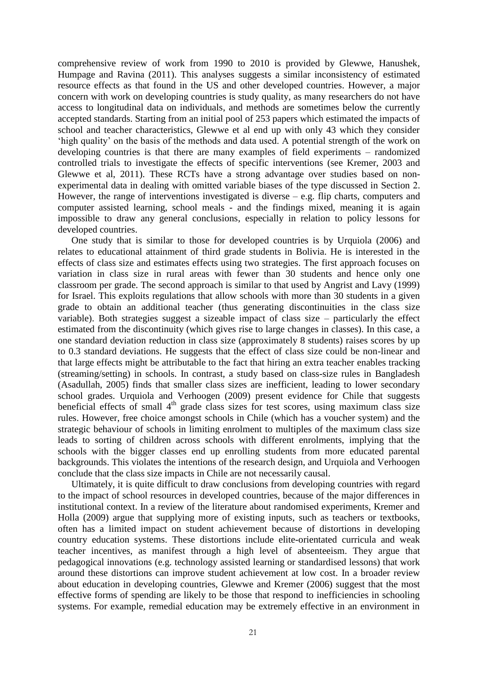comprehensive review of work from 1990 to 2010 is provided by Glewwe, Hanushek, Humpage and Ravina (2011). This analyses suggests a similar inconsistency of estimated resource effects as that found in the US and other developed countries. However, a major concern with work on developing countries is study quality, as many researchers do not have access to longitudinal data on individuals, and methods are sometimes below the currently accepted standards. Starting from an initial pool of 253 papers which estimated the impacts of school and teacher characteristics, Glewwe et al end up with only 43 which they consider 'high quality' on the basis of the methods and data used. A potential strength of the work on developing countries is that there are many examples of field experiments – randomized controlled trials to investigate the effects of specific interventions (see Kremer, 2003 and Glewwe et al, 2011). These RCTs have a strong advantage over studies based on nonexperimental data in dealing with omitted variable biases of the type discussed in Section 2. However, the range of interventions investigated is diverse  $-e.g.$  flip charts, computers and computer assisted learning, school meals - and the findings mixed, meaning it is again impossible to draw any general conclusions, especially in relation to policy lessons for developed countries.

One study that is similar to those for developed countries is by Urquiola (2006) and relates to educational attainment of third grade students in Bolivia. He is interested in the effects of class size and estimates effects using two strategies. The first approach focuses on variation in class size in rural areas with fewer than 30 students and hence only one classroom per grade. The second approach is similar to that used by Angrist and Lavy (1999) for Israel. This exploits regulations that allow schools with more than 30 students in a given grade to obtain an additional teacher (thus generating discontinuities in the class size variable). Both strategies suggest a sizeable impact of class size – particularly the effect estimated from the discontinuity (which gives rise to large changes in classes). In this case, a one standard deviation reduction in class size (approximately 8 students) raises scores by up to 0.3 standard deviations. He suggests that the effect of class size could be non-linear and that large effects might be attributable to the fact that hiring an extra teacher enables tracking (streaming/setting) in schools. In contrast, a study based on class-size rules in Bangladesh (Asadullah, 2005) finds that smaller class sizes are inefficient, leading to lower secondary school grades. Urquiola and Verhoogen (2009) present evidence for Chile that suggests beneficial effects of small 4<sup>th</sup> grade class sizes for test scores, using maximum class size rules. However, free choice amongst schools in Chile (which has a voucher system) and the strategic behaviour of schools in limiting enrolment to multiples of the maximum class size leads to sorting of children across schools with different enrolments, implying that the schools with the bigger classes end up enrolling students from more educated parental backgrounds. This violates the intentions of the research design, and Urquiola and Verhoogen conclude that the class size impacts in Chile are not necessarily causal.

Ultimately, it is quite difficult to draw conclusions from developing countries with regard to the impact of school resources in developed countries, because of the major differences in institutional context. In a review of the literature about randomised experiments, Kremer and Holla (2009) argue that supplying more of existing inputs, such as teachers or textbooks, often has a limited impact on student achievement because of distortions in developing country education systems. These distortions include elite-orientated curricula and weak teacher incentives, as manifest through a high level of absenteeism. They argue that pedagogical innovations (e.g. technology assisted learning or standardised lessons) that work around these distortions can improve student achievement at low cost. In a broader review about education in developing countries, Glewwe and Kremer (2006) suggest that the most effective forms of spending are likely to be those that respond to inefficiencies in schooling systems. For example, remedial education may be extremely effective in an environment in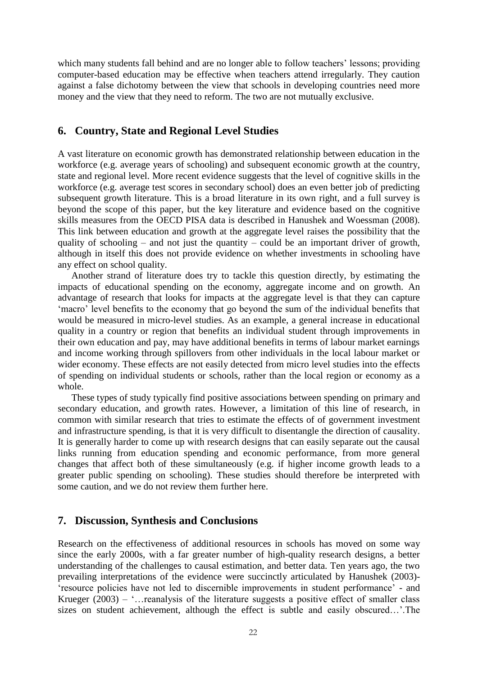which many students fall behind and are no longer able to follow teachers' lessons; providing computer-based education may be effective when teachers attend irregularly. They caution against a false dichotomy between the view that schools in developing countries need more money and the view that they need to reform. The two are not mutually exclusive.

## **6. Country, State and Regional Level Studies**

A vast literature on economic growth has demonstrated relationship between education in the workforce (e.g. average years of schooling) and subsequent economic growth at the country, state and regional level. More recent evidence suggests that the level of cognitive skills in the workforce (e.g. average test scores in secondary school) does an even better job of predicting subsequent growth literature. This is a broad literature in its own right, and a full survey is beyond the scope of this paper, but the key literature and evidence based on the cognitive skills measures from the OECD PISA data is described in Hanushek and Woessman (2008). This link between education and growth at the aggregate level raises the possibility that the quality of schooling – and not just the quantity – could be an important driver of growth, although in itself this does not provide evidence on whether investments in schooling have any effect on school quality.

Another strand of literature does try to tackle this question directly, by estimating the impacts of educational spending on the economy, aggregate income and on growth. An advantage of research that looks for impacts at the aggregate level is that they can capture 'macro' level benefits to the economy that go beyond the sum of the individual benefits that would be measured in micro-level studies. As an example, a general increase in educational quality in a country or region that benefits an individual student through improvements in their own education and pay, may have additional benefits in terms of labour market earnings and income working through spillovers from other individuals in the local labour market or wider economy. These effects are not easily detected from micro level studies into the effects of spending on individual students or schools, rather than the local region or economy as a whole.

These types of study typically find positive associations between spending on primary and secondary education, and growth rates. However, a limitation of this line of research, in common with similar research that tries to estimate the effects of of government investment and infrastructure spending, is that it is very difficult to disentangle the direction of causality. It is generally harder to come up with research designs that can easily separate out the causal links running from education spending and economic performance, from more general changes that affect both of these simultaneously (e.g. if higher income growth leads to a greater public spending on schooling). These studies should therefore be interpreted with some caution, and we do not review them further here.

### **7. Discussion, Synthesis and Conclusions**

Research on the effectiveness of additional resources in schools has moved on some way since the early 2000s, with a far greater number of high-quality research designs, a better understanding of the challenges to causal estimation, and better data. Ten years ago, the two prevailing interpretations of the evidence were succinctly articulated by Hanushek (2003)- 'resource policies have not led to discernible improvements in student performance' - and Krueger  $(2003)$  – '... reanalysis of the literature suggests a positive effect of smaller class sizes on student achievement, although the effect is subtle and easily obscured…'.The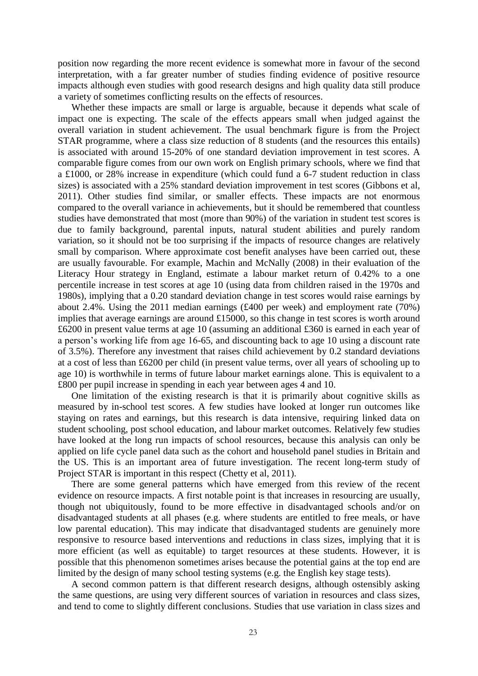position now regarding the more recent evidence is somewhat more in favour of the second interpretation, with a far greater number of studies finding evidence of positive resource impacts although even studies with good research designs and high quality data still produce a variety of sometimes conflicting results on the effects of resources.

Whether these impacts are small or large is arguable, because it depends what scale of impact one is expecting. The scale of the effects appears small when judged against the overall variation in student achievement. The usual benchmark figure is from the Project STAR programme, where a class size reduction of 8 students (and the resources this entails) is associated with around 15-20% of one standard deviation improvement in test scores. A comparable figure comes from our own work on English primary schools, where we find that a £1000, or 28% increase in expenditure (which could fund a 6-7 student reduction in class sizes) is associated with a 25% standard deviation improvement in test scores (Gibbons et al, 2011). Other studies find similar, or smaller effects. These impacts are not enormous compared to the overall variance in achievements, but it should be remembered that countless studies have demonstrated that most (more than 90%) of the variation in student test scores is due to family background, parental inputs, natural student abilities and purely random variation, so it should not be too surprising if the impacts of resource changes are relatively small by comparison. Where approximate cost benefit analyses have been carried out, these are usually favourable. For example, Machin and McNally (2008) in their evaluation of the Literacy Hour strategy in England, estimate a labour market return of 0.42% to a one percentile increase in test scores at age 10 (using data from children raised in the 1970s and 1980s), implying that a 0.20 standard deviation change in test scores would raise earnings by about 2.4%. Using the 2011 median earnings (£400 per week) and employment rate (70%) implies that average earnings are around £15000, so this change in test scores is worth around £6200 in present value terms at age 10 (assuming an additional £360 is earned in each year of a person's working life from age 16-65, and discounting back to age 10 using a discount rate of 3.5%). Therefore any investment that raises child achievement by 0.2 standard deviations at a cost of less than £6200 per child (in present value terms, over all years of schooling up to age 10) is worthwhile in terms of future labour market earnings alone. This is equivalent to a £800 per pupil increase in spending in each year between ages 4 and 10.

One limitation of the existing research is that it is primarily about cognitive skills as measured by in-school test scores. A few studies have looked at longer run outcomes like staying on rates and earnings, but this research is data intensive, requiring linked data on student schooling, post school education, and labour market outcomes. Relatively few studies have looked at the long run impacts of school resources, because this analysis can only be applied on life cycle panel data such as the cohort and household panel studies in Britain and the US. This is an important area of future investigation. The recent long-term study of Project STAR is important in this respect (Chetty et al, 2011).

There are some general patterns which have emerged from this review of the recent evidence on resource impacts. A first notable point is that increases in resourcing are usually, though not ubiquitously, found to be more effective in disadvantaged schools and/or on disadvantaged students at all phases (e.g. where students are entitled to free meals, or have low parental education). This may indicate that disadvantaged students are genuinely more responsive to resource based interventions and reductions in class sizes, implying that it is more efficient (as well as equitable) to target resources at these students. However, it is possible that this phenomenon sometimes arises because the potential gains at the top end are limited by the design of many school testing systems (e.g. the English key stage tests).

A second common pattern is that different research designs, although ostensibly asking the same questions, are using very different sources of variation in resources and class sizes, and tend to come to slightly different conclusions. Studies that use variation in class sizes and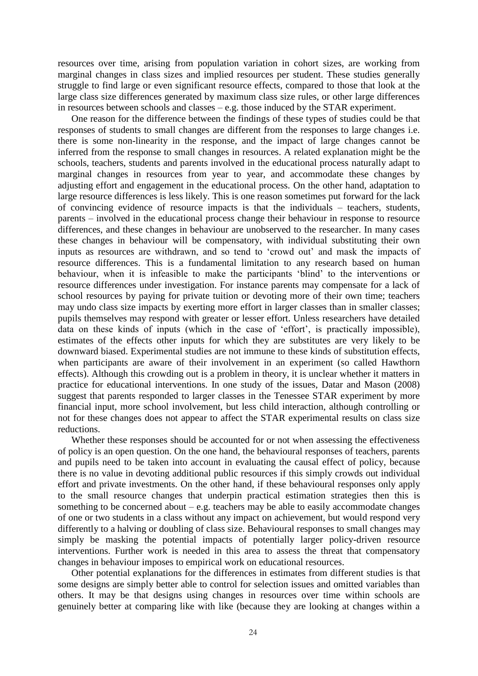resources over time, arising from population variation in cohort sizes, are working from marginal changes in class sizes and implied resources per student. These studies generally struggle to find large or even significant resource effects, compared to those that look at the large class size differences generated by maximum class size rules, or other large differences in resources between schools and classes – e.g. those induced by the STAR experiment.

One reason for the difference between the findings of these types of studies could be that responses of students to small changes are different from the responses to large changes i.e. there is some non-linearity in the response, and the impact of large changes cannot be inferred from the response to small changes in resources. A related explanation might be the schools, teachers, students and parents involved in the educational process naturally adapt to marginal changes in resources from year to year, and accommodate these changes by adjusting effort and engagement in the educational process. On the other hand, adaptation to large resource differences is less likely. This is one reason sometimes put forward for the lack of convincing evidence of resource impacts is that the individuals – teachers, students, parents – involved in the educational process change their behaviour in response to resource differences, and these changes in behaviour are unobserved to the researcher. In many cases these changes in behaviour will be compensatory, with individual substituting their own inputs as resources are withdrawn, and so tend to 'crowd out' and mask the impacts of resource differences. This is a fundamental limitation to any research based on human behaviour, when it is infeasible to make the participants 'blind' to the interventions or resource differences under investigation. For instance parents may compensate for a lack of school resources by paying for private tuition or devoting more of their own time; teachers may undo class size impacts by exerting more effort in larger classes than in smaller classes; pupils themselves may respond with greater or lesser effort. Unless researchers have detailed data on these kinds of inputs (which in the case of 'effort', is practically impossible), estimates of the effects other inputs for which they are substitutes are very likely to be downward biased. Experimental studies are not immune to these kinds of substitution effects, when participants are aware of their involvement in an experiment (so called Hawthorn effects). Although this crowding out is a problem in theory, it is unclear whether it matters in practice for educational interventions. In one study of the issues, Datar and Mason (2008) suggest that parents responded to larger classes in the Tenessee STAR experiment by more financial input, more school involvement, but less child interaction, although controlling or not for these changes does not appear to affect the STAR experimental results on class size reductions.

Whether these responses should be accounted for or not when assessing the effectiveness of policy is an open question. On the one hand, the behavioural responses of teachers, parents and pupils need to be taken into account in evaluating the causal effect of policy, because there is no value in devoting additional public resources if this simply crowds out individual effort and private investments. On the other hand, if these behavioural responses only apply to the small resource changes that underpin practical estimation strategies then this is something to be concerned about  $-e.g.$  teachers may be able to easily accommodate changes of one or two students in a class without any impact on achievement, but would respond very differently to a halving or doubling of class size. Behavioural responses to small changes may simply be masking the potential impacts of potentially larger policy-driven resource interventions. Further work is needed in this area to assess the threat that compensatory changes in behaviour imposes to empirical work on educational resources.

Other potential explanations for the differences in estimates from different studies is that some designs are simply better able to control for selection issues and omitted variables than others. It may be that designs using changes in resources over time within schools are genuinely better at comparing like with like (because they are looking at changes within a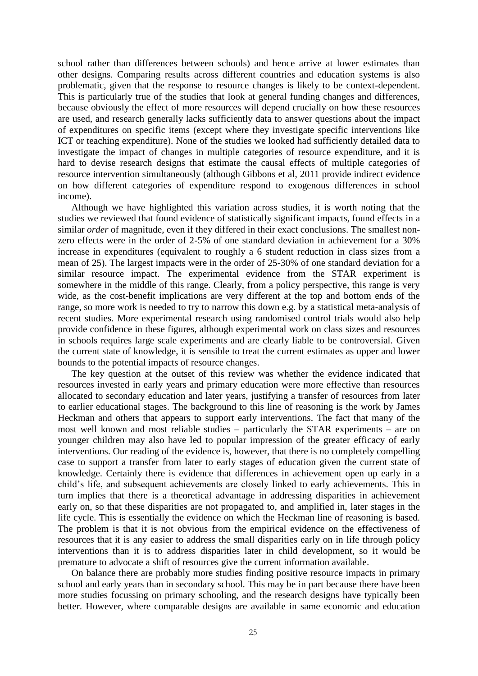school rather than differences between schools) and hence arrive at lower estimates than other designs. Comparing results across different countries and education systems is also problematic, given that the response to resource changes is likely to be context-dependent. This is particularly true of the studies that look at general funding changes and differences, because obviously the effect of more resources will depend crucially on how these resources are used, and research generally lacks sufficiently data to answer questions about the impact of expenditures on specific items (except where they investigate specific interventions like ICT or teaching expenditure). None of the studies we looked had sufficiently detailed data to investigate the impact of changes in multiple categories of resource expenditure, and it is hard to devise research designs that estimate the causal effects of multiple categories of resource intervention simultaneously (although Gibbons et al, 2011 provide indirect evidence on how different categories of expenditure respond to exogenous differences in school income).

Although we have highlighted this variation across studies, it is worth noting that the studies we reviewed that found evidence of statistically significant impacts, found effects in a similar *order* of magnitude, even if they differed in their exact conclusions. The smallest nonzero effects were in the order of 2-5% of one standard deviation in achievement for a 30% increase in expenditures (equivalent to roughly a 6 student reduction in class sizes from a mean of 25). The largest impacts were in the order of 25-30% of one standard deviation for a similar resource impact. The experimental evidence from the STAR experiment is somewhere in the middle of this range. Clearly, from a policy perspective, this range is very wide, as the cost-benefit implications are very different at the top and bottom ends of the range, so more work is needed to try to narrow this down e.g. by a statistical meta-analysis of recent studies. More experimental research using randomised control trials would also help provide confidence in these figures, although experimental work on class sizes and resources in schools requires large scale experiments and are clearly liable to be controversial. Given the current state of knowledge, it is sensible to treat the current estimates as upper and lower bounds to the potential impacts of resource changes.

The key question at the outset of this review was whether the evidence indicated that resources invested in early years and primary education were more effective than resources allocated to secondary education and later years, justifying a transfer of resources from later to earlier educational stages. The background to this line of reasoning is the work by James Heckman and others that appears to support early interventions. The fact that many of the most well known and most reliable studies – particularly the STAR experiments – are on younger children may also have led to popular impression of the greater efficacy of early interventions. Our reading of the evidence is, however, that there is no completely compelling case to support a transfer from later to early stages of education given the current state of knowledge. Certainly there is evidence that differences in achievement open up early in a child's life, and subsequent achievements are closely linked to early achievements. This in turn implies that there is a theoretical advantage in addressing disparities in achievement early on, so that these disparities are not propagated to, and amplified in, later stages in the life cycle. This is essentially the evidence on which the Heckman line of reasoning is based. The problem is that it is not obvious from the empirical evidence on the effectiveness of resources that it is any easier to address the small disparities early on in life through policy interventions than it is to address disparities later in child development, so it would be premature to advocate a shift of resources give the current information available.

On balance there are probably more studies finding positive resource impacts in primary school and early years than in secondary school. This may be in part because there have been more studies focussing on primary schooling, and the research designs have typically been better. However, where comparable designs are available in same economic and education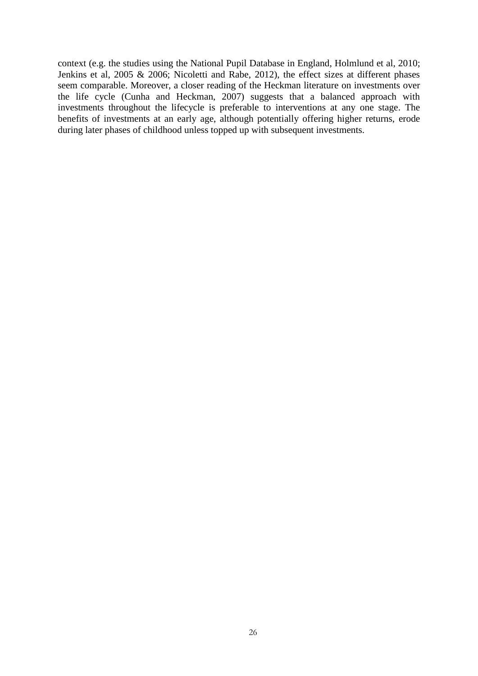context (e.g. the studies using the National Pupil Database in England, Holmlund et al, 2010; Jenkins et al, 2005 & 2006; Nicoletti and Rabe, 2012), the effect sizes at different phases seem comparable. Moreover, a closer reading of the Heckman literature on investments over the life cycle (Cunha and Heckman, 2007) suggests that a balanced approach with investments throughout the lifecycle is preferable to interventions at any one stage. The benefits of investments at an early age, although potentially offering higher returns, erode during later phases of childhood unless topped up with subsequent investments.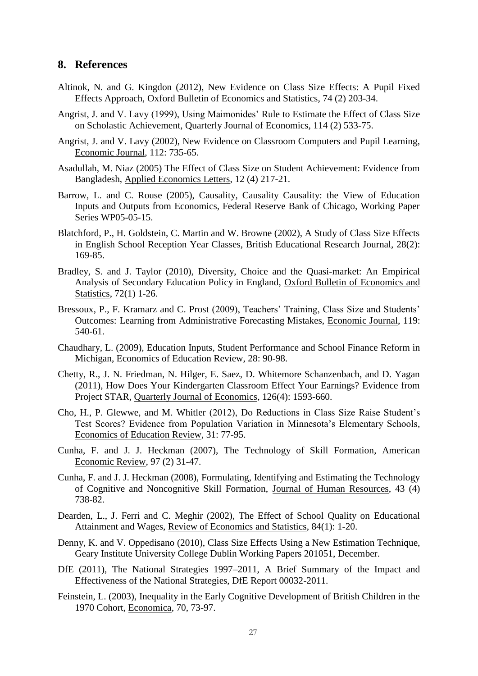## **8. References**

- Altinok, N. and G. Kingdon (2012), New Evidence on Class Size Effects: A Pupil Fixed Effects Approach, Oxford Bulletin of Economics and Statistics, 74 (2) 203-34.
- Angrist, J. and V. Lavy (1999), Using Maimonides' Rule to Estimate the Effect of Class Size on Scholastic Achievement, Quarterly Journal of Economics, 114 (2) 533-75.
- Angrist, J. and V. Lavy (2002), New Evidence on Classroom Computers and Pupil Learning, Economic Journal, 112: 735-65.
- Asadullah, M. Niaz (2005) The Effect of Class Size on Student Achievement: Evidence from Bangladesh, Applied Economics Letters, 12 (4) 217-21.
- Barrow, L. and C. Rouse (2005), Causality, Causality Causality: the View of Education Inputs and Outputs from Economics, Federal Reserve Bank of Chicago, Working Paper Series WP05-05-15.
- Blatchford, P., H. Goldstein, C. Martin and W. Browne (2002), A Study of Class Size Effects in English School Reception Year Classes, British Educational Research Journal, 28(2): 169-85.
- Bradley, S. and J. Taylor (2010), Diversity, Choice and the Quasi-market: An Empirical Analysis of Secondary Education Policy in England, Oxford Bulletin of Economics and Statistics, 72(1) 1-26.
- Bressoux, P., F. Kramarz and C. Prost (2009), Teachers' Training, Class Size and Students' Outcomes: Learning from Administrative Forecasting Mistakes, Economic Journal, 119: 540-61.
- Chaudhary, L. (2009), Education Inputs, Student Performance and School Finance Reform in Michigan, Economics of Education Review, 28: 90-98.
- Chetty, R., J. N. Friedman, N. Hilger, E. Saez, D. Whitemore Schanzenbach, and D. Yagan (2011), How Does Your Kindergarten Classroom Effect Your Earnings? Evidence from Project STAR, Quarterly Journal of Economics, 126(4): 1593-660.
- Cho, H., P. Glewwe, and M. Whitler (2012), Do Reductions in Class Size Raise Student's Test Scores? Evidence from Population Variation in Minnesota's Elementary Schools, Economics of Education Review, 31: 77-95.
- Cunha, F. and J. J. Heckman (2007), The Technology of Skill Formation, American Economic Review, 97 (2) 31-47.
- Cunha, F. and J. J. Heckman (2008), Formulating, Identifying and Estimating the Technology of Cognitive and Noncognitive Skill Formation, Journal of Human Resources, 43 (4) 738-82.
- Dearden, L., J. Ferri and C. Meghir (2002), The Effect of School Quality on Educational Attainment and Wages, Review of Economics and Statistics, 84(1): 1-20.
- Denny, K. and V. Oppedisano (2010), Class Size Effects Using a New Estimation Technique, Geary Institute University College Dublin Working Papers 201051, December.
- DfE (2011), The National Strategies 1997–2011, A Brief Summary of the Impact and Effectiveness of the National Strategies, DfE Report 00032-2011.
- Feinstein, L. (2003), Inequality in the Early Cognitive Development of British Children in the 1970 Cohort, Economica, 70, 73-97.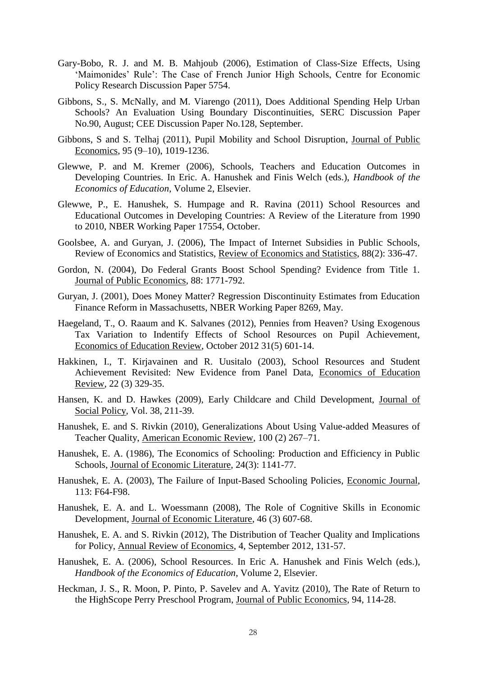- Gary-Bobo, R. J. and M. B. Mahjoub (2006), Estimation of Class-Size Effects, Using 'Maimonides' Rule': The Case of French Junior High Schools, Centre for Economic Policy Research Discussion Paper 5754.
- Gibbons, S., S. McNally, and M. Viarengo (2011), Does Additional Spending Help Urban Schools? An Evaluation Using Boundary Discontinuities, SERC Discussion Paper No.90, August; CEE Discussion Paper No.128, September.
- Gibbons, S and S. Telhaj (2011), Pupil Mobility and School Disruption, Journal of Public Economics, 95 (9–10), 1019-1236.
- Glewwe, P. and M. Kremer (2006), Schools, Teachers and Education Outcomes in Developing Countries. In Eric. A. Hanushek and Finis Welch (eds.), *Handbook of the Economics of Education*, Volume 2, Elsevier.
- Glewwe, P., E. Hanushek, S. Humpage and R. Ravina (2011) School Resources and Educational Outcomes in Developing Countries: A Review of the Literature from 1990 to 2010, NBER Working Paper 17554, October.
- Goolsbee, A. and Guryan, J. (2006), The Impact of Internet Subsidies in Public Schools, Review of Economics and Statistics, Review of Economics and Statistics, 88(2): 336-47.
- Gordon, N. (2004), Do Federal Grants Boost School Spending? Evidence from Title 1. Journal of Public Economics, 88: 1771-792.
- Guryan, J. (2001), Does Money Matter? Regression Discontinuity Estimates from Education Finance Reform in Massachusetts, NBER Working Paper 8269, May.
- Haegeland, T., O. Raaum and K. Salvanes (2012), Pennies from Heaven? Using Exogenous Tax Variation to Indentify Effects of School Resources on Pupil Achievement, Economics of Education Review, October 2012 31(5) 601-14.
- Hakkinen, I., T. Kirjavainen and R. Uusitalo (2003), School Resources and Student Achievement Revisited: New Evidence from Panel Data, Economics of Education Review, 22 (3) 329-35.
- Hansen, K. and D. Hawkes (2009), Early Childcare and Child Development, Journal of Social Policy, Vol. 38, 211-39.
- Hanushek, E. and S. Rivkin (2010), Generalizations About Using Value-added Measures of Teacher Quality, American Economic Review, 100 (2) 267–71.
- Hanushek, E. A. (1986), The Economics of Schooling: Production and Efficiency in Public Schools, Journal of Economic Literature, 24(3): 1141-77.
- Hanushek, E. A. (2003), The Failure of Input-Based Schooling Policies, Economic Journal, 113: F64-F98.
- Hanushek, E. A. and L. Woessmann (2008), The Role of Cognitive Skills in Economic Development, Journal of Economic Literature, 46 (3) 607‐68.
- Hanushek, E. A. and S. Rivkin (2012), The Distribution of Teacher Quality and Implications for Policy, Annual Review of Economics, 4, September 2012, 131-57.
- Hanushek, E. A. (2006), School Resources. In Eric A. Hanushek and Finis Welch (eds.), *Handbook of the Economics of Education*, Volume 2, Elsevier.
- Heckman, J. S., R. Moon, P. Pinto, P. Savelev and A. Yavitz (2010), The Rate of Return to the HighScope Perry Preschool Program, Journal of Public Economics, 94, 114-28.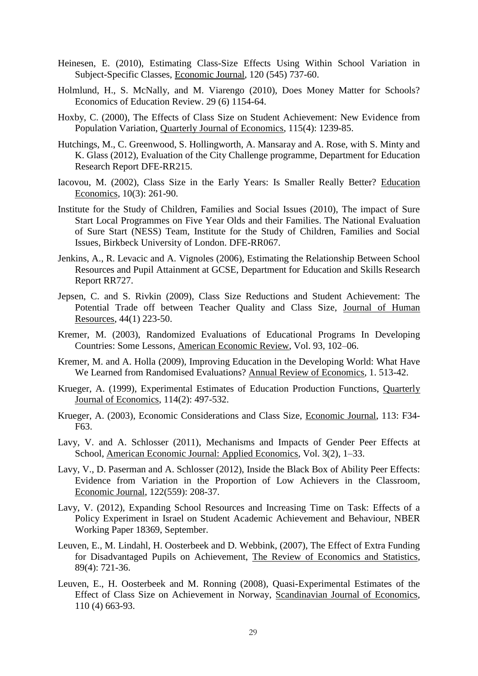- Heinesen, E. (2010), Estimating Class-Size Effects Using Within School Variation in Subject-Specific Classes, Economic Journal, 120 (545) 737-60.
- Holmlund, H., S. McNally, and M. Viarengo (2010), Does Money Matter for Schools? Economics of Education Review. 29 (6) 1154-64.
- Hoxby, C. (2000), The Effects of Class Size on Student Achievement: New Evidence from Population Variation, Quarterly Journal of Economics, 115(4): 1239-85.
- Hutchings, M., C. Greenwood, S. Hollingworth, A. Mansaray and A. Rose, with S. Minty and K. Glass (2012), Evaluation of the City Challenge programme, Department for Education Research Report DFE-RR215.
- Iacovou, M. (2002), Class Size in the Early Years: Is Smaller Really Better? Education Economics, 10(3): 261-90.
- Institute for the Study of Children, Families and Social Issues (2010), The impact of Sure Start Local Programmes on Five Year Olds and their Families. The National Evaluation of Sure Start (NESS) Team, Institute for the Study of Children, Families and Social Issues, Birkbeck University of London. DFE-RR067.
- Jenkins, A., R. Levacic and A. Vignoles (2006), Estimating the Relationship Between School Resources and Pupil Attainment at GCSE, Department for Education and Skills Research Report RR727.
- Jepsen, C. and S. Rivkin (2009), Class Size Reductions and Student Achievement: The Potential Trade off between Teacher Quality and Class Size, Journal of Human Resources, 44(1) 223-50.
- Kremer, M. (2003), Randomized Evaluations of Educational Programs In Developing Countries: Some Lessons, American Economic Review, Vol. 93, 102–06.
- Kremer, M. and A. Holla (2009), Improving Education in the Developing World: What Have We Learned from Randomised Evaluations? Annual Review of Economics, 1. 513-42.
- Krueger, A. (1999), Experimental Estimates of Education Production Functions, Quarterly Journal of Economics, 114(2): 497-532.
- Krueger, A. (2003), Economic Considerations and Class Size, Economic Journal, 113: F34- F63.
- Lavy, V. and A. Schlosser (2011), Mechanisms and Impacts of Gender Peer Effects at School, American Economic Journal: Applied Economics, Vol. 3(2), 1–33.
- Lavy, V., D. Paserman and A. Schlosser (2012), [Inside the Black Box of Ability Peer Effects:](http://ideas.repec.org/a/ecj/econjl/v122y2012i559p208-237.html)  [Evidence from Variation in the Proportion of Low Achievers in the Classroom,](http://ideas.repec.org/a/ecj/econjl/v122y2012i559p208-237.html) [Economic Journal,](http://ideas.repec.org/s/ecj/econjl.html) 122(559): 208-37.
- Lavy, V. (2012), Expanding School Resources and Increasing Time on Task: Effects of a Policy Experiment in Israel on Student Academic Achievement and Behaviour, NBER Working Paper 18369, September.
- Leuven, E., M. Lindahl, H. Oosterbeek and D. Webbink, (2007), The Effect of Extra Funding for Disadvantaged Pupils on Achievement, The Review of Economics and Statistics, 89(4): 721-36.
- Leuven, E., H. Oosterbeek and M. Ronning (2008), Quasi-Experimental Estimates of the Effect of Class Size on Achievement in Norway, Scandinavian Journal of Economics, 110 (4) 663-93.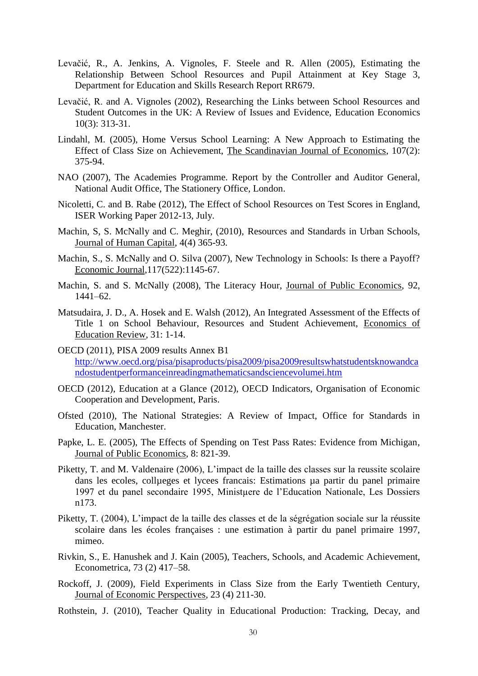- Levačić, R., A. Jenkins, A. Vignoles, F. Steele and R. Allen (2005), Estimating the Relationship Between School Resources and Pupil Attainment at Key Stage 3, Department for Education and Skills Research Report RR679.
- Levačić, R. and A. Vignoles (2002), Researching the Links between School Resources and Student Outcomes in the UK: A Review of Issues and Evidence, Education Economics 10(3): 313-31.
- Lindahl, M. (2005), Home Versus School Learning: A New Approach to Estimating the Effect of Class Size on Achievement, The Scandinavian Journal of Economics, 107(2): 375-94.
- NAO (2007), The Academies Programme. Report by the Controller and Auditor General, National Audit Office, The Stationery Office, London.
- Nicoletti, C. and B. Rabe (2012), The Effect of School Resources on Test Scores in England, ISER Working Paper 2012-13, July.
- Machin, S, S. McNally and C. Meghir, (2010), Resources and Standards in Urban Schools, Journal of Human Capital, 4(4) 365-93.
- Machin, S., S. McNally and O. Silva (2007), New Technology in Schools: Is there a Payoff? Economic Journal,117(522):1145-67.
- Machin, S. and S. McNally (2008), The Literacy Hour, Journal of Public Economics, 92, 1441–62.
- Matsudaira, J. D., A. Hosek and E. Walsh (2012), An Integrated Assessment of the Effects of Title 1 on School Behaviour, Resources and Student Achievement, Economics of Education Review, 31: 1-14.
- OECD (2011), PISA 2009 results Annex B1 [http://www.oecd.org/pisa/pisaproducts/pisa2009/pisa2009resultswhatstudentsknowandca](http://www.oecd.org/pisa/pisaproducts/pisa2009/pisa2009resultswhatstudentsknowandcandostudentperformanceinreadingmathematicsandsciencevolumei.htm) [ndostudentperformanceinreadingmathematicsandsciencevolumei.htm](http://www.oecd.org/pisa/pisaproducts/pisa2009/pisa2009resultswhatstudentsknowandcandostudentperformanceinreadingmathematicsandsciencevolumei.htm)
- OECD (2012), Education at a Glance (2012), OECD Indicators, Organisation of Economic Cooperation and Development, Paris.
- Ofsted (2010), The National Strategies: A Review of Impact, Office for Standards in Education, Manchester.
- Papke, L. E. (2005), The Effects of Spending on Test Pass Rates: Evidence from Michigan, Journal of Public Economics, 8: 821-39.
- Piketty, T. and M. Valdenaire (2006), L'impact de la taille des classes sur la reussite scolaire dans les ecoles, collueges et lycees francais: Estimations µa partir du panel primaire 1997 et du panel secondaire 1995, Ministµere de l'Education Nationale, Les Dossiers n173.
- Piketty, T. (2004), L'impact de la taille des classes et de la ségrégation sociale sur la réussite scolaire dans les écoles françaises : une estimation à partir du panel primaire 1997, mimeo.
- Rivkin, S., E. Hanushek and J. Kain (2005), Teachers, Schools, and Academic Achievement, Econometrica, 73 (2) 417–58.
- Rockoff, J. (2009), Field Experiments in Class Size from the Early Twentieth Century, Journal of Economic Perspectives, 23 (4) 211-30.
- Rothstein, J. (2010), Teacher Quality in Educational Production: Tracking, Decay, and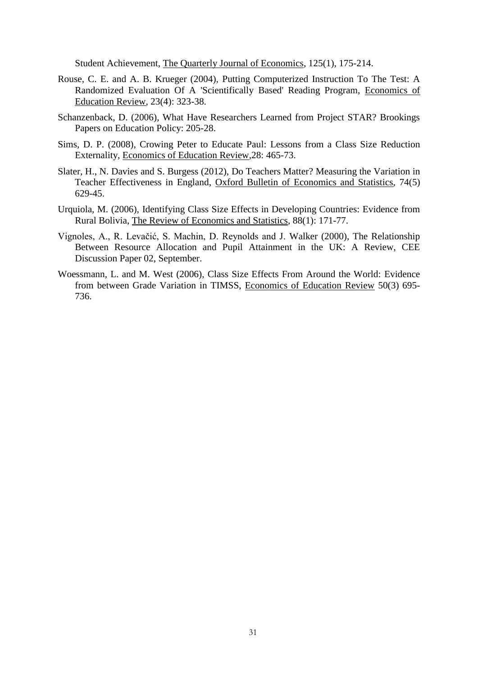Student Achievement, The Quarterly Journal of Economics, 125(1), 175-214.

- Rouse, C. E. and A. B. Krueger (2004), Putting Computerized Instruction To The Test: A Randomized Evaluation Of A 'Scientifically Based' Reading Program, Economics of Education Review, 23(4): 323-38.
- Schanzenback, D. (2006), What Have Researchers Learned from Project STAR? Brookings Papers on Education Policy: 205-28.
- Sims, D. P. (2008), Crowing Peter to Educate Paul: Lessons from a Class Size Reduction Externality, Economics of Education Review,28: 465-73.
- Slater, H., N. Davies and S. Burgess (2012), Do Teachers Matter? Measuring the Variation in Teacher Effectiveness in England, Oxford Bulletin of Economics and Statistics, 74(5) 629-45.
- Urquiola, M. (2006), Identifying Class Size Effects in Developing Countries: Evidence from Rural Bolivia, The Review of Economics and Statistics, 88(1): 171-77.
- Vignoles, A., R. Levačić, S. Machin, D. Reynolds and J. Walker (2000), The Relationship Between Resource Allocation and Pupil Attainment in the UK: A Review, CEE Discussion Paper 02, September.
- Woessmann, L. and M. West (2006), Class Size Effects From Around the World: Evidence from between Grade Variation in TIMSS, Economics of Education Review 50(3) 695- 736.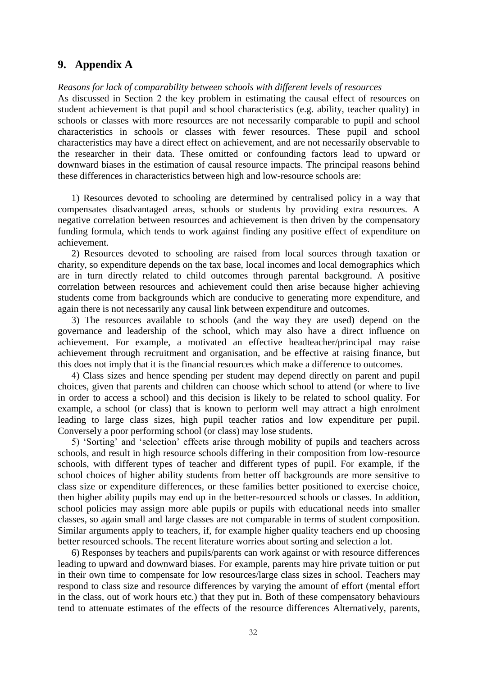## **9. Appendix A**

#### *Reasons for lack of comparability between schools with different levels of resources*

As discussed in Section 2 the key problem in estimating the causal effect of resources on student achievement is that pupil and school characteristics (e.g. ability, teacher quality) in schools or classes with more resources are not necessarily comparable to pupil and school characteristics in schools or classes with fewer resources. These pupil and school characteristics may have a direct effect on achievement, and are not necessarily observable to the researcher in their data. These omitted or confounding factors lead to upward or downward biases in the estimation of causal resource impacts. The principal reasons behind these differences in characteristics between high and low-resource schools are:

1) Resources devoted to schooling are determined by centralised policy in a way that compensates disadvantaged areas, schools or students by providing extra resources. A negative correlation between resources and achievement is then driven by the compensatory funding formula, which tends to work against finding any positive effect of expenditure on achievement.

2) Resources devoted to schooling are raised from local sources through taxation or charity, so expenditure depends on the tax base, local incomes and local demographics which are in turn directly related to child outcomes through parental background. A positive correlation between resources and achievement could then arise because higher achieving students come from backgrounds which are conducive to generating more expenditure, and again there is not necessarily any causal link between expenditure and outcomes.

3) The resources available to schools (and the way they are used) depend on the governance and leadership of the school, which may also have a direct influence on achievement. For example, a motivated an effective headteacher/principal may raise achievement through recruitment and organisation, and be effective at raising finance, but this does not imply that it is the financial resources which make a difference to outcomes.

4) Class sizes and hence spending per student may depend directly on parent and pupil choices, given that parents and children can choose which school to attend (or where to live in order to access a school) and this decision is likely to be related to school quality. For example, a school (or class) that is known to perform well may attract a high enrolment leading to large class sizes, high pupil teacher ratios and low expenditure per pupil. Conversely a poor performing school (or class) may lose students.

5) 'Sorting' and 'selection' effects arise through mobility of pupils and teachers across schools, and result in high resource schools differing in their composition from low-resource schools, with different types of teacher and different types of pupil. For example, if the school choices of higher ability students from better off backgrounds are more sensitive to class size or expenditure differences, or these families better positioned to exercise choice, then higher ability pupils may end up in the better-resourced schools or classes. In addition, school policies may assign more able pupils or pupils with educational needs into smaller classes, so again small and large classes are not comparable in terms of student composition. Similar arguments apply to teachers, if, for example higher quality teachers end up choosing better resourced schools. The recent literature worries about sorting and selection a lot.

6) Responses by teachers and pupils/parents can work against or with resource differences leading to upward and downward biases. For example, parents may hire private tuition or put in their own time to compensate for low resources/large class sizes in school. Teachers may respond to class size and resource differences by varying the amount of effort (mental effort in the class, out of work hours etc.) that they put in. Both of these compensatory behaviours tend to attenuate estimates of the effects of the resource differences Alternatively, parents,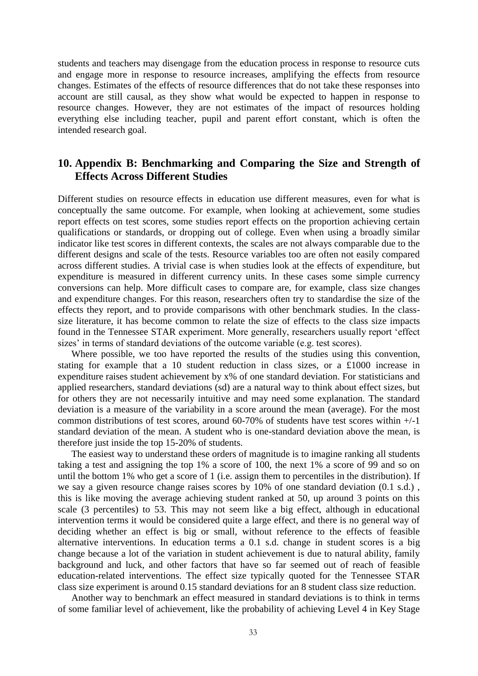students and teachers may disengage from the education process in response to resource cuts and engage more in response to resource increases, amplifying the effects from resource changes. Estimates of the effects of resource differences that do not take these responses into account are still causal, as they show what would be expected to happen in response to resource changes. However, they are not estimates of the impact of resources holding everything else including teacher, pupil and parent effort constant, which is often the intended research goal.

## **10. Appendix B: Benchmarking and Comparing the Size and Strength of Effects Across Different Studies**

Different studies on resource effects in education use different measures, even for what is conceptually the same outcome. For example, when looking at achievement, some studies report effects on test scores, some studies report effects on the proportion achieving certain qualifications or standards, or dropping out of college. Even when using a broadly similar indicator like test scores in different contexts, the scales are not always comparable due to the different designs and scale of the tests. Resource variables too are often not easily compared across different studies. A trivial case is when studies look at the effects of expenditure, but expenditure is measured in different currency units. In these cases some simple currency conversions can help. More difficult cases to compare are, for example, class size changes and expenditure changes. For this reason, researchers often try to standardise the size of the effects they report, and to provide comparisons with other benchmark studies. In the classsize literature, it has become common to relate the size of effects to the class size impacts found in the Tennessee STAR experiment. More generally, researchers usually report 'effect sizes' in terms of standard deviations of the outcome variable (e.g. test scores).

Where possible, we too have reported the results of the studies using this convention, stating for example that a 10 student reduction in class sizes, or a £1000 increase in expenditure raises student achievement by x% of one standard deviation. For statisticians and applied researchers, standard deviations (sd) are a natural way to think about effect sizes, but for others they are not necessarily intuitive and may need some explanation. The standard deviation is a measure of the variability in a score around the mean (average). For the most common distributions of test scores, around 60-70% of students have test scores within +/-1 standard deviation of the mean. A student who is one-standard deviation above the mean, is therefore just inside the top 15-20% of students.

The easiest way to understand these orders of magnitude is to imagine ranking all students taking a test and assigning the top 1% a score of 100, the next 1% a score of 99 and so on until the bottom 1% who get a score of 1 (i.e. assign them to percentiles in the distribution). If we say a given resource change raises scores by 10% of one standard deviation (0.1 s.d.) , this is like moving the average achieving student ranked at 50, up around 3 points on this scale (3 percentiles) to 53. This may not seem like a big effect, although in educational intervention terms it would be considered quite a large effect, and there is no general way of deciding whether an effect is big or small, without reference to the effects of feasible alternative interventions. In education terms a 0.1 s.d. change in student scores is a big change because a lot of the variation in student achievement is due to natural ability, family background and luck, and other factors that have so far seemed out of reach of feasible education-related interventions. The effect size typically quoted for the Tennessee STAR class size experiment is around 0.15 standard deviations for an 8 student class size reduction.

Another way to benchmark an effect measured in standard deviations is to think in terms of some familiar level of achievement, like the probability of achieving Level 4 in Key Stage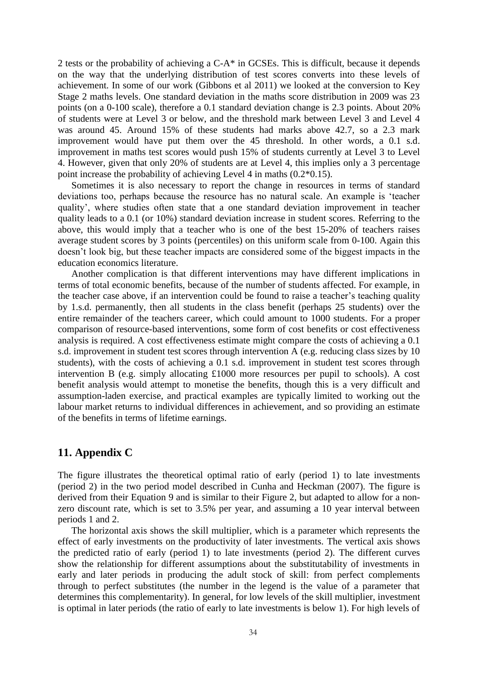2 tests or the probability of achieving a C-A\* in GCSEs. This is difficult, because it depends on the way that the underlying distribution of test scores converts into these levels of achievement. In some of our work (Gibbons et al 2011) we looked at the conversion to Key Stage 2 maths levels. One standard deviation in the maths score distribution in 2009 was 23 points (on a 0-100 scale), therefore a 0.1 standard deviation change is 2.3 points. About 20% of students were at Level 3 or below, and the threshold mark between Level 3 and Level 4 was around 45. Around 15% of these students had marks above 42.7, so a 2.3 mark improvement would have put them over the 45 threshold. In other words, a 0.1 s.d. improvement in maths test scores would push 15% of students currently at Level 3 to Level 4. However, given that only 20% of students are at Level 4, this implies only a 3 percentage point increase the probability of achieving Level 4 in maths (0.2\*0.15).

Sometimes it is also necessary to report the change in resources in terms of standard deviations too, perhaps because the resource has no natural scale. An example is 'teacher quality', where studies often state that a one standard deviation improvement in teacher quality leads to a 0.1 (or 10%) standard deviation increase in student scores. Referring to the above, this would imply that a teacher who is one of the best 15-20% of teachers raises average student scores by 3 points (percentiles) on this uniform scale from 0-100. Again this doesn't look big, but these teacher impacts are considered some of the biggest impacts in the education economics literature.

Another complication is that different interventions may have different implications in terms of total economic benefits, because of the number of students affected. For example, in the teacher case above, if an intervention could be found to raise a teacher's teaching quality by 1.s.d. permanently, then all students in the class benefit (perhaps 25 students) over the entire remainder of the teachers career, which could amount to 1000 students. For a proper comparison of resource-based interventions, some form of cost benefits or cost effectiveness analysis is required. A cost effectiveness estimate might compare the costs of achieving a 0.1 s.d. improvement in student test scores through intervention A (e.g. reducing class sizes by 10 students), with the costs of achieving a 0.1 s.d. improvement in student test scores through intervention B (e.g. simply allocating £1000 more resources per pupil to schools). A cost benefit analysis would attempt to monetise the benefits, though this is a very difficult and assumption-laden exercise, and practical examples are typically limited to working out the labour market returns to individual differences in achievement, and so providing an estimate of the benefits in terms of lifetime earnings.

## **11. Appendix C**

The figure illustrates the theoretical optimal ratio of early (period 1) to late investments (period 2) in the two period model described in Cunha and Heckman (2007). The figure is derived from their Equation 9 and is similar to their Figure 2, but adapted to allow for a nonzero discount rate, which is set to 3.5% per year, and assuming a 10 year interval between periods 1 and 2.

The horizontal axis shows the skill multiplier, which is a parameter which represents the effect of early investments on the productivity of later investments. The vertical axis shows the predicted ratio of early (period 1) to late investments (period 2). The different curves show the relationship for different assumptions about the substitutability of investments in early and later periods in producing the adult stock of skill: from perfect complements through to perfect substitutes (the number in the legend is the value of a parameter that determines this complementarity). In general, for low levels of the skill multiplier, investment is optimal in later periods (the ratio of early to late investments is below 1). For high levels of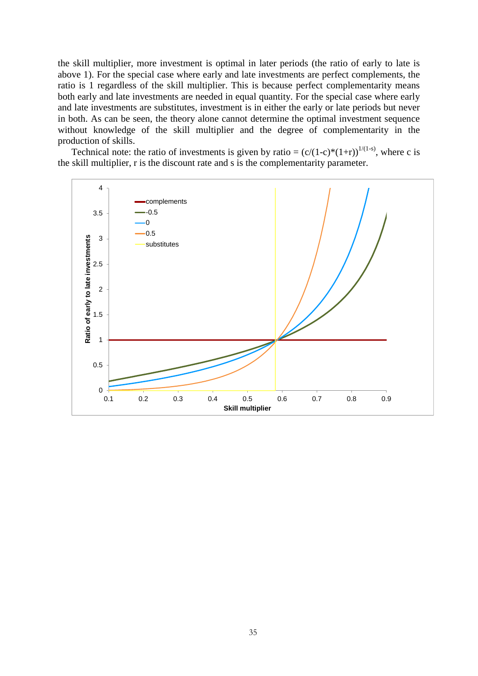the skill multiplier, more investment is optimal in later periods (the ratio of early to late is above 1). For the special case where early and late investments are perfect complements, the ratio is 1 regardless of the skill multiplier. This is because perfect complementarity means both early and late investments are needed in equal quantity. For the special case where early and late investments are substitutes, investment is in either the early or late periods but never in both. As can be seen, the theory alone cannot determine the optimal investment sequence without knowledge of the skill multiplier and the degree of complementarity in the production of skills.

Technical note: the ratio of investments is given by ratio =  $(c/(1-c)*(1+r))^{1/(1-s)}$ , where c is the skill multiplier, r is the discount rate and s is the complementarity parameter.

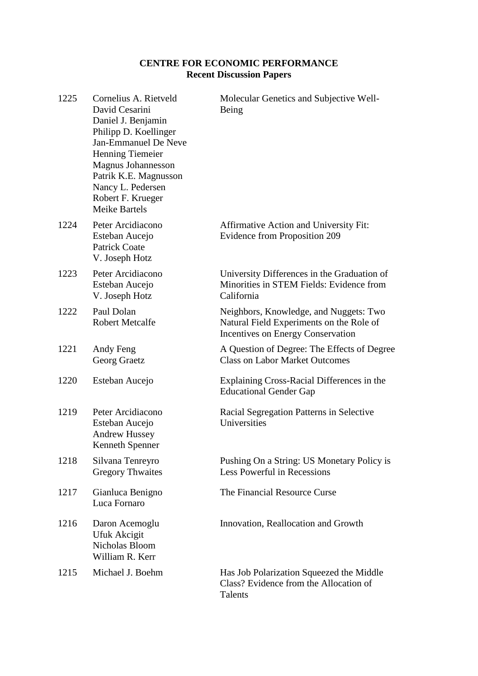## **CENTRE FOR ECONOMIC PERFORMANCE Recent Discussion Papers**

| 1225 | Cornelius A. Rietveld<br>David Cesarini<br>Daniel J. Benjamin<br>Philipp D. Koellinger<br><b>Jan-Emmanuel De Neve</b><br><b>Henning Tiemeier</b><br><b>Magnus Johannesson</b><br>Patrik K.E. Magnusson<br>Nancy L. Pedersen<br>Robert F. Krueger<br><b>Meike Bartels</b> | Molecular Genetics and Subjective Well-<br>Being                                                                        |
|------|--------------------------------------------------------------------------------------------------------------------------------------------------------------------------------------------------------------------------------------------------------------------------|-------------------------------------------------------------------------------------------------------------------------|
| 1224 | Peter Arcidiacono<br>Esteban Aucejo<br><b>Patrick Coate</b><br>V. Joseph Hotz                                                                                                                                                                                            | Affirmative Action and University Fit:<br><b>Evidence from Proposition 209</b>                                          |
| 1223 | Peter Arcidiacono<br>Esteban Aucejo<br>V. Joseph Hotz                                                                                                                                                                                                                    | University Differences in the Graduation of<br>Minorities in STEM Fields: Evidence from<br>California                   |
| 1222 | Paul Dolan<br><b>Robert Metcalfe</b>                                                                                                                                                                                                                                     | Neighbors, Knowledge, and Nuggets: Two<br>Natural Field Experiments on the Role of<br>Incentives on Energy Conservation |
| 1221 | Andy Feng<br>Georg Graetz                                                                                                                                                                                                                                                | A Question of Degree: The Effects of Degree<br><b>Class on Labor Market Outcomes</b>                                    |
| 1220 | Esteban Aucejo                                                                                                                                                                                                                                                           | Explaining Cross-Racial Differences in the<br><b>Educational Gender Gap</b>                                             |
| 1219 | Peter Arcidiacono<br>Esteban Aucejo<br><b>Andrew Hussey</b><br>Kenneth Spenner                                                                                                                                                                                           | Racial Segregation Patterns in Selective<br>Universities                                                                |
| 1218 | Silvana Tenreyro<br><b>Gregory Thwaites</b>                                                                                                                                                                                                                              | Pushing On a String: US Monetary Policy is<br>Less Powerful in Recessions                                               |
| 1217 | Gianluca Benigno<br>Luca Fornaro                                                                                                                                                                                                                                         | The Financial Resource Curse                                                                                            |
| 1216 | Daron Acemoglu<br>Ufuk Akcigit<br>Nicholas Bloom<br>William R. Kerr                                                                                                                                                                                                      | Innovation, Reallocation and Growth                                                                                     |
| 1215 | Michael J. Boehm                                                                                                                                                                                                                                                         | Has Job Polarization Squeezed the Middle<br>Class? Evidence from the Allocation of<br>Talents                           |